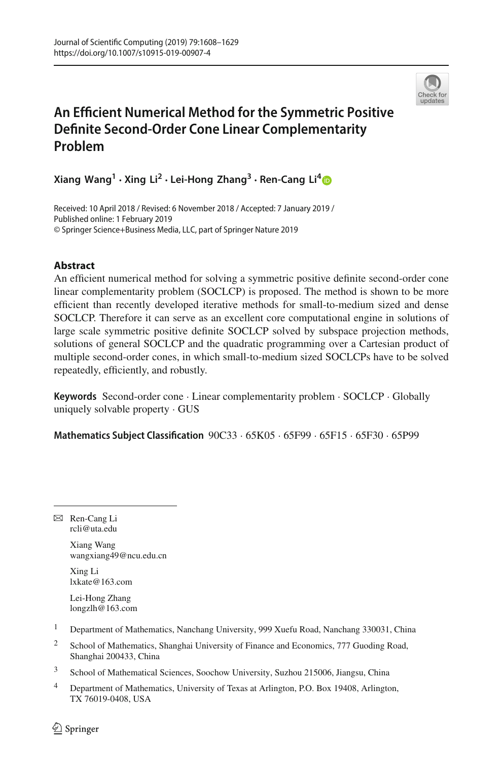

# **An Efficient Numerical Method for the Symmetric Positive Definite Second-Order Cone Linear Complementarity Problem**

**Xiang Wang<sup>1</sup> · Xing Li2 · Lei-Hong Zhang3 · Ren-Cang Li[4](http://orcid.org/0000-0002-4388-3398)**

Received: 10 April 2018 / Revised: 6 November 2018 / Accepted: 7 January 2019 / Published online: 1 February 2019 © Springer Science+Business Media, LLC, part of Springer Nature 2019

# **Abstract**

An efficient numerical method for solving a symmetric positive definite second-order cone linear complementarity problem (SOCLCP) is proposed. The method is shown to be more efficient than recently developed iterative methods for small-to-medium sized and dense SOCLCP. Therefore it can serve as an excellent core computational engine in solutions of large scale symmetric positive definite SOCLCP solved by subspace projection methods, solutions of general SOCLCP and the quadratic programming over a Cartesian product of multiple second-order cones, in which small-to-medium sized SOCLCPs have to be solved repeatedly, efficiently, and robustly.

**Keywords** Second-order cone · Linear complementarity problem · SOCLCP · Globally uniquely solvable property · GUS

**Mathematics Subject Classification** 90C33 · 65K05 · 65F99 · 65F15 · 65F30 · 65P99

B Ren-Cang Li rcli@uta.edu

> Xiang Wang wangxiang49@ncu.edu.cn

Xing Li lxkate@163.com

Lei-Hong Zhang longzlh@163.com

<sup>1</sup> Department of Mathematics, Nanchang University, 999 Xuefu Road, Nanchang 330031, China

- <sup>2</sup> School of Mathematics, Shanghai University of Finance and Economics, 777 Guoding Road, Shanghai 200433, China
- <sup>3</sup> School of Mathematical Sciences, Soochow University, Suzhou 215006, Jiangsu, China
- <sup>4</sup> Department of Mathematics, University of Texas at Arlington, P.O. Box 19408, Arlington, TX 76019-0408, USA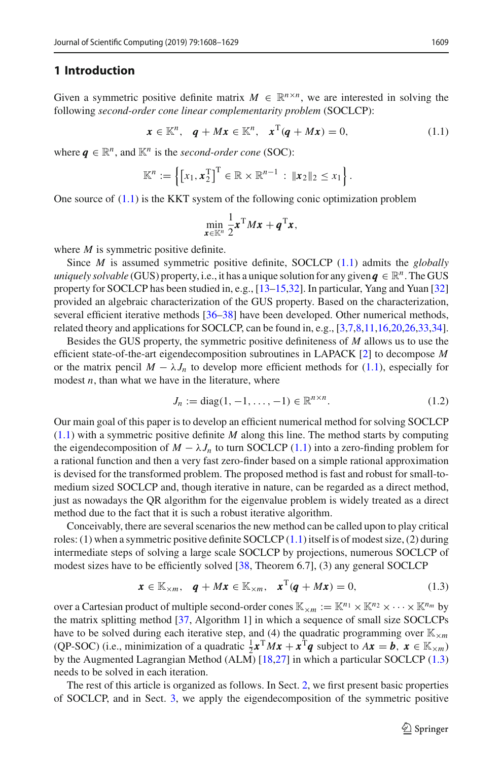#### **1 Introduction**

Given a symmetric positive definite matrix  $M \in \mathbb{R}^{n \times n}$ , we are interested in solving the following *second-order cone linear complementarity problem* (SOCLCP):

<span id="page-1-0"></span>
$$
\mathbf{x} \in \mathbb{K}^n, \quad \mathbf{q} + M\mathbf{x} \in \mathbb{K}^n, \quad \mathbf{x}^{\mathrm{T}}(\mathbf{q} + M\mathbf{x}) = 0,\tag{1.1}
$$

where  $q \in \mathbb{R}^n$ , and  $\mathbb{K}^n$  is the *second-order cone* (SOC):

$$
\mathbb{K}^n := \left\{ \left[ x_1, \mathbf{x}_2^{\mathrm{T}} \right]^{\mathrm{T}} \in \mathbb{R} \times \mathbb{R}^{n-1} : \|\mathbf{x}_2\|_2 \leq x_1 \right\}.
$$

One source of  $(1.1)$  is the KKT system of the following conic optimization problem

$$
\min_{\mathbf{x}\in\mathbb{K}^n}\frac{1}{2}\mathbf{x}^{\mathrm{T}}M\mathbf{x}+\boldsymbol{q}^{\mathrm{T}}\mathbf{x},
$$

where *M* is symmetric positive definite.

Since *M* is assumed symmetric positive definite, SOCLCP [\(1.1\)](#page-1-0) admits the *globally uniquely solvable* (GUS) property, i.e., it has a unique solution for any given  $q \in \mathbb{R}^n$ . The GUS property for SOCLCP has been studied in, e.g., [\[13](#page-20-0)[–15](#page-20-1)[,32](#page-20-2)]. In particular, Yang and Yuan [\[32\]](#page-20-2) provided an algebraic characterization of the GUS property. Based on the characterization, several efficient iterative methods [\[36](#page-20-3)[–38](#page-21-0)] have been developed. Other numerical methods, related theory and applications for SOCLCP, can be found in, e.g., [\[3](#page-19-0)[,7](#page-20-4)[,8](#page-20-5)[,11](#page-20-6)[,16](#page-20-7)[,20](#page-20-8)[,26](#page-20-9)[,33](#page-20-10)[,34\]](#page-20-11).

Besides the GUS property, the symmetric positive definiteness of *M* allows us to use the efficient state-of-the-art eigendecomposition subroutines in LAPACK [\[2](#page-19-1)] to decompose *M* or the matrix pencil  $M - \lambda J_n$  to develop more efficient methods for [\(1.1\)](#page-1-0), especially for modest *n*, than what we have in the literature, where

<span id="page-1-2"></span>
$$
J_n := \text{diag}(1, -1, \dots, -1) \in \mathbb{R}^{n \times n}.
$$
 (1.2)

Our main goal of this paper is to develop an efficient numerical method for solving SOCLCP [\(1.1\)](#page-1-0) with a symmetric positive definite *M* along this line. The method starts by computing the eigendecomposition of  $M - \lambda J_n$  to turn SOCLCP [\(1.1\)](#page-1-0) into a zero-finding problem for a rational function and then a very fast zero-finder based on a simple rational approximation is devised for the transformed problem. The proposed method is fast and robust for small-tomedium sized SOCLCP and, though iterative in nature, can be regarded as a direct method, just as nowadays the QR algorithm for the eigenvalue problem is widely treated as a direct method due to the fact that it is such a robust iterative algorithm.

Conceivably, there are several scenarios the new method can be called upon to play critical roles: (1) when a symmetric positive definite SOCLCP  $(1.1)$  itself is of modest size, (2) during intermediate steps of solving a large scale SOCLCP by projections, numerous SOCLCP of modest sizes have to be efficiently solved [\[38,](#page-21-0) Theorem 6.7], (3) any general SOCLCP

<span id="page-1-1"></span>
$$
\boldsymbol{x} \in \mathbb{K}_{\times m}, \quad \boldsymbol{q} + M\boldsymbol{x} \in \mathbb{K}_{\times m}, \quad \boldsymbol{x}^{\mathrm{T}}(\boldsymbol{q} + M\boldsymbol{x}) = 0, \tag{1.3}
$$

over a Cartesian product of multiple second-order cones  $\mathbb{K}_{\times m} := \mathbb{K}^{n_1} \times \mathbb{K}^{n_2} \times \cdots \times \mathbb{K}^{n_m}$  by the matrix splitting method [\[37,](#page-20-12) Algorithm 1] in which a sequence of small size SOCLCPs have to be solved during each iterative step, and (4) the quadratic programming over  $\mathbb{K}_{\times m}$ (QP-SOC) (i.e., minimization of a quadratic  $\frac{1}{2}x^TMx + x^Tq$  subject to  $Ax = b$ ,  $x \in \mathbb{K}_{\times m}$ ) by the Augmented Lagrangian Method (ALM) [\[18](#page-20-13)[,27\]](#page-20-14) in which a particular SOCLCP [\(1.3\)](#page-1-1) needs to be solved in each iteration.

The rest of this article is organized as follows. In Sect. [2,](#page-2-0) we first present basic properties of SOCLCP, and in Sect. [3,](#page-4-0) we apply the eigendecomposition of the symmetric positive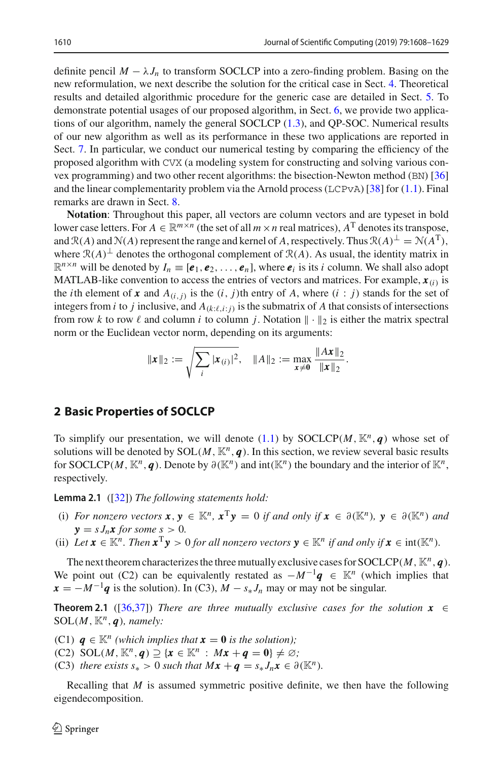definite pencil  $M - \lambda J_n$  to transform SOCLCP into a zero-finding problem. Basing on the new reformulation, we next describe the solution for the critical case in Sect. [4.](#page-5-0) Theoretical results and detailed algorithmic procedure for the generic case are detailed in Sect. [5.](#page-6-0) To demonstrate potential usages of our proposed algorithm, in Sect. [6,](#page-12-0) we provide two applications of our algorithm, namely the general SOCLCP [\(1.3\)](#page-1-1), and QP-SOC. Numerical results of our new algorithm as well as its performance in these two applications are reported in Sect. [7.](#page-13-0) In particular, we conduct our numerical testing by comparing the efficiency of the proposed algorithm with CVX (a modeling system for constructing and solving various convex programming) and two other recent algorithms: the bisection-Newton method (BN) [\[36\]](#page-20-3) and the linear complementarity problem via the Arnold process (LCPvA)  $[38]$  $[38]$  for [\(1.1\)](#page-1-0). Final remarks are drawn in Sect. [8.](#page-19-2)

**Notation**: Throughout this paper, all vectors are column vectors and are typeset in bold lower case letters. For  $A \in \mathbb{R}^{m \times n}$  (the set of all  $m \times n$  real matrices),  $A<sup>T</sup>$  denotes its transpose, and  $\mathcal{R}(A)$  and  $\mathcal{N}(A)$  represent the range and kernel of *A*, respectively. Thus  $\mathcal{R}(A)^{\perp} = \mathcal{N}(A^{T})$ , where  $\mathcal{R}(A)^\perp$  denotes the orthogonal complement of  $\mathcal{R}(A)$ . As usual, the identity matrix in  $\mathbb{R}^{n \times n}$  will be denoted by  $I_n \equiv [\mathbf{e}_1, \mathbf{e}_2, \dots, \mathbf{e}_n]$ , where  $\mathbf{e}_i$  is its *i* column. We shall also adopt MATLAB-like convention to access the entries of vectors and matrices. For example,  $x_{(i)}$  is the *i*th element of  $x$  and  $A_{(i,j)}$  is the  $(i, j)$ th entry of  $A$ , where  $(i : j)$  stands for the set of integers from *i* to *j* inclusive, and  $A_{(k:\ell,i;j)}$  is the submatrix of *A* that consists of intersections from row *k* to row  $\ell$  and column *i* to column *j*. Notation  $\|\cdot\|_2$  is either the matrix spectral norm or the Euclidean vector norm, depending on its arguments:

$$
\|\mathbf{x}\|_2 := \sqrt{\sum_i |\mathbf{x}_{(i)}|^2}, \quad \|A\|_2 := \max_{\mathbf{x}\neq \mathbf{0}} \frac{\|A\mathbf{x}\|_2}{\|\mathbf{x}\|_2}.
$$

### <span id="page-2-0"></span>**2 Basic Properties of SOCLCP**

To simplify our presentation, we will denote [\(1.1\)](#page-1-0) by SOCLCP( $M$ ,  $\mathbb{K}^n$ , *q*) whose set of solutions will be denoted by  $SOL(M, \mathbb{K}^n, q)$ . In this section, we review several basic results for SOCLCP(*M*,  $\mathbb{K}^n$ , *q*). Denote by  $\partial(\mathbb{K}^n)$  and  $\text{int}(\mathbb{K}^n)$  the boundary and the interior of  $\mathbb{K}^n$ , respectively.

**Lemma 2.1** ([\[32\]](#page-20-2)) *The following statements hold:*

- (i) *For nonzero vectors*  $\mathbf{x}, \mathbf{y} \in \mathbb{K}^n$ ,  $\mathbf{x}^T \mathbf{y} = 0$  *if and only if*  $\mathbf{x} \in \partial(\mathbb{K}^n)$ ,  $\mathbf{y} \in \partial(\mathbb{K}^n)$  *and*  $y = sJ_n x$  for some  $s > 0$ .
- (ii) Let  $\mathbf{x} \in \mathbb{K}^n$ . Then  $\mathbf{x}^T \mathbf{y} > 0$  for all nonzero vectors  $\mathbf{y} \in \mathbb{K}^n$  if and only if  $\mathbf{x} \in \text{int}(\mathbb{K}^n)$ .

The next theorem characterizes the three mutually exclusive cases for SOCLCP( $M$ ,  $\mathbb{K}^n$ ,  $q$ ). We point out (C2) can be equivalently restated as  $-M^{-1}\mathbf{q} \in \mathbb{K}^n$  (which implies that  $x = -M^{-1}q$  is the solution). In (C3),  $M - s * J_n$  may or may not be singular.

<span id="page-2-1"></span>**Theorem 2.1** ([\[36](#page-20-3)[,37](#page-20-12)]) *There are three mutually exclusive cases for the solution*  $x \in$ SOL $(M, \mathbb{K}^n, \mathbf{q})$ *, namely:* 

(C1)  $q \in \mathbb{K}^n$  (which implies that  $x = 0$  is the solution);

- (C2) SOL(*M*,  $\mathbb{K}^n$ , *q*)  $\supseteq$  { $x \in \mathbb{K}^n$  :  $Mx + q = 0$ }  $\neq \emptyset$ ;
- (C3) *there exists*  $s_* > 0$  *such that*  $Mx + q = s_* J_n x \in \partial(\mathbb{K}^n)$ *.*

Recalling that *M* is assumed symmetric positive definite, we then have the following eigendecomposition.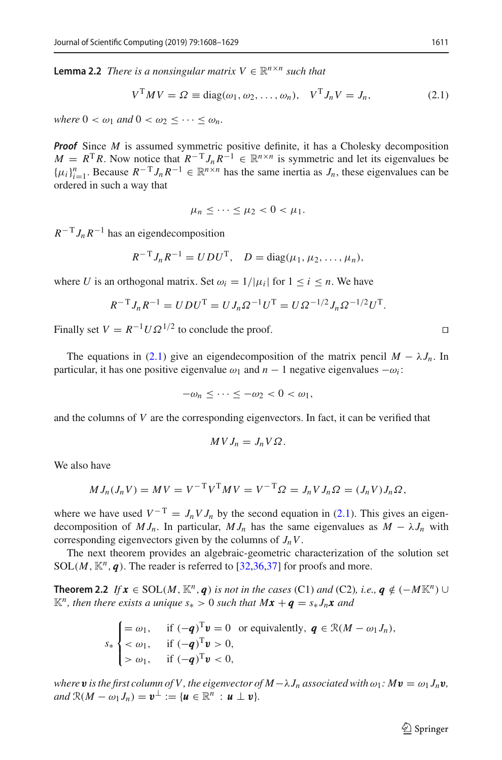**Lemma 2.2** *There is a nonsingular matrix*  $V \in \mathbb{R}^{n \times n}$  *such that* 

<span id="page-3-0"></span>
$$
VT MV = \Omega \equiv \text{diag}(\omega_1, \omega_2, \dots, \omega_n), \quad VT J_n V = J_n,
$$
 (2.1)

*where*  $0 < \omega_1$  *and*  $0 < \omega_2 < \cdots < \omega_n$ *.* 

**Proof** Since *M* is assumed symmetric positive definite, it has a Cholesky decomposition  $M = R^{T}R$ . Now notice that  $R^{-T}J_{n}R^{-1} \in \mathbb{R}^{n \times n}$  is symmetric and let its eigenvalues be  $\{\mu_i\}_{i=1}^n$ . Because  $R^{-T}J_nR^{-1} \in \mathbb{R}^{n \times n}$  has the same inertia as  $J_n$ , these eigenvalues can be ordered in such a way that

$$
\mu_n\leq\cdots\leq\mu_2<0<\mu_1.
$$

 $R^{-T} J_n R^{-1}$  has an eigendecomposition

$$
R^{-T}J_nR^{-1} = UDU^{T}
$$
,  $D = diag(\mu_1, \mu_2, ..., \mu_n)$ ,

where *U* is an orthogonal matrix. Set  $\omega_i = 1/|\mu_i|$  for  $1 \le i \le n$ . We have

$$
R^{-T}J_nR^{-1} = UDU^{T} = UJ_n\Omega^{-1}U^{T} = U\Omega^{-1/2}J_n\Omega^{-1/2}U^{T}.
$$

Finally set  $V = R^{-1}U\Omega^{1/2}$  to conclude the proof.

The equations in [\(2.1\)](#page-3-0) give an eigendecomposition of the matrix pencil  $M - \lambda J_n$ . In particular, it has one positive eigenvalue  $\omega_1$  and  $n-1$  negative eigenvalues  $-\omega_i$ :

$$
-\omega_n \leq \cdots \leq -\omega_2 < 0 < \omega_1,
$$

and the columns of *V* are the corresponding eigenvectors. In fact, it can be verified that

<span id="page-3-1"></span>
$$
MVJ_n = J_nV\Omega.
$$

We also have

$$
M J_n(J_n V) = M V = V^{-T} V^{T} M V = V^{-T} \Omega = J_n V J_n \Omega = (J_n V) J_n \Omega,
$$

where we have used  $V^{-T} = J_n V J_n$  by the second equation in [\(2.1\)](#page-3-0). This gives an eigendecomposition of  $M J_n$ . In particular,  $M J_n$  has the same eigenvalues as  $M - \lambda J_n$  with corresponding eigenvectors given by the columns of *JnV*.

The next theorem provides an algebraic-geometric characterization of the solution set SOL(*M*,  $\mathbb{K}^n$ , *q*). The reader is referred to [\[32](#page-20-2)[,36](#page-20-3)[,37](#page-20-12)] for proofs and more.

**Theorem 2.2** *If*  $x \in SOL(M, \mathbb{K}^n, q)$  *is not in the cases* (C1) *and* (C2)*, i.e.,*  $q \notin (-M\mathbb{K}^n) \cup$  $\mathbb{K}^n$ , then there exists a unique  $s_* > 0$  such that  $M\mathbf{x} + \mathbf{q} = s_* J_n\mathbf{x}$  and

$$
s_*\begin{cases} = \omega_1, & \text{if } (-q)^T \mathbf{v} = 0 \text{ or equivalently, } \mathbf{q} \in \mathcal{R}(M - \omega_1 J_n), \\ < \omega_1, & \text{if } (-q)^T \mathbf{v} > 0, \\ > \omega_1, & \text{if } (-q)^T \mathbf{v} < 0, \end{cases}
$$

*where* **v** *is the first column of V, the eigenvector of*  $M - \lambda J_n$  *associated with*  $\omega_1$ *:*  $M$ *v =*  $\omega_1 J_n$ *v, and*  $\mathbb{R}(M - \omega_1 J_n) = \mathbf{v}^\perp := \{ \mathbf{u} \in \mathbb{R}^n : \mathbf{u} \perp \mathbf{v} \}.$ 

 $\Box$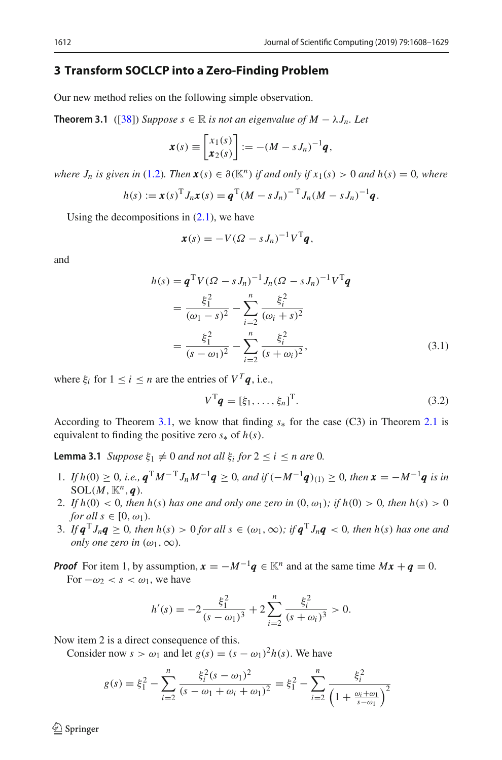#### <span id="page-4-0"></span>**3 Transform SOCLCP into a Zero-Finding Problem**

Our new method relies on the following simple observation.

**Theorem 3.1** ([\[38\]](#page-21-0)) *Suppose s* ∈ ℝ *is not an eigenvalue of M* −  $\lambda J_n$ *. Let* 

<span id="page-4-1"></span>
$$
\boldsymbol{x}(s) \equiv \begin{bmatrix} x_1(s) \\ x_2(s) \end{bmatrix} := -(M - sJ_n)^{-1} \boldsymbol{q},
$$

*where*  $J_n$  *is given in* [\(1.2\)](#page-1-2)*. Then*  $\mathbf{x}(s) \in \partial(\mathbb{K}^n)$  *if and only if*  $x_1(s) > 0$  *and*  $h(s) = 0$ *, where* 

$$
h(s) := \boldsymbol{x}(s)^{\mathrm{T}} J_n \boldsymbol{x}(s) = \boldsymbol{q}^{\mathrm{T}} (M - s J_n)^{-\mathrm{T}} J_n (M - s J_n)^{-1} \boldsymbol{q}.
$$

Using the decompositions in  $(2.1)$ , we have

$$
\boldsymbol{x}(s) = -V(\Omega - sJ_n)^{-1}V^{\mathrm{T}}\boldsymbol{q},
$$

and

$$
h(s) = \mathbf{q}^{\mathrm{T}} V (\Omega - s J_n)^{-1} J_n (\Omega - s J_n)^{-1} V^{\mathrm{T}} \mathbf{q}
$$
  
= 
$$
\frac{\xi_1^2}{(\omega_1 - s)^2} - \sum_{i=2}^n \frac{\xi_i^2}{(\omega_i + s)^2}
$$
  
= 
$$
\frac{\xi_1^2}{(s - \omega_1)^2} - \sum_{i=2}^n \frac{\xi_i^2}{(s + \omega_i)^2},
$$
(3.1)

where  $\xi_i$  for  $1 \le i \le n$  are the entries of  $V^T q$ , i.e.,

<span id="page-4-3"></span><span id="page-4-2"></span>
$$
V^{\mathrm{T}}\boldsymbol{q} = [\xi_1, \dots, \xi_n]^{\mathrm{T}}.
$$
\n(3.2)

According to Theorem [3.1,](#page-4-1) we know that finding *s*<sup>∗</sup> for the case (C3) in Theorem [2.1](#page-2-1) is equivalent to finding the positive zero  $s_*$  of  $h(s)$ .

**Lemma 3.1** *Suppose*  $\xi_1 \neq 0$  *and not all*  $\xi_i$  *for*  $2 \leq i \leq n$  *are* 0*.* 

- 1. *If*  $h(0) \ge 0$ , *i.e.*,  $q^{T}M^{-T}J_nM^{-1}q \ge 0$ , and if  $(-M^{-1}q)_{(1)} \ge 0$ , then  $x = -M^{-1}q$  is in  $SOL(M, \mathbb{K}^n, \mathbf{q})$ .
- 2. If  $h(0) < 0$ , then  $h(s)$  has one and only one zero in  $(0, \omega_1)$ ; if  $h(0) > 0$ , then  $h(s) > 0$ *for all*  $s \in [0, \omega_1)$ *.*
- 3. If  $\mathbf{q}^T J_n \mathbf{q} \geq 0$ , then  $h(s) > 0$  for all  $s \in (\omega_1, \infty)$ ; if  $\mathbf{q}^T J_n \mathbf{q} < 0$ , then  $h(s)$  has one and *only one zero in*  $(\omega_1, \infty)$ *.*

*Proof* For item 1, by assumption,  $\mathbf{x} = -M^{-1}\mathbf{q} \in \mathbb{K}^n$  and at the same time  $M\mathbf{x} + \mathbf{q} = 0$ . For  $-\omega_2 < s < \omega_1$ , we have

$$
h'(s) = -2\frac{\xi_1^2}{(s - \omega_1)^3} + 2\sum_{i=2}^n \frac{\xi_i^2}{(s + \omega_i)^3} > 0.
$$

Now item 2 is a direct consequence of this.

Consider now  $s > \omega_1$  and let  $g(s) = (s - \omega_1)^2 h(s)$ . We have

$$
g(s) = \xi_1^2 - \sum_{i=2}^n \frac{\xi_i^2 (s - \omega_1)^2}{(s - \omega_1 + \omega_i + \omega_1)^2} = \xi_1^2 - \sum_{i=2}^n \frac{\xi_i^2}{\left(1 + \frac{\omega_i + \omega_1}{s - \omega_1}\right)^2}
$$

 $\circledcirc$  Springer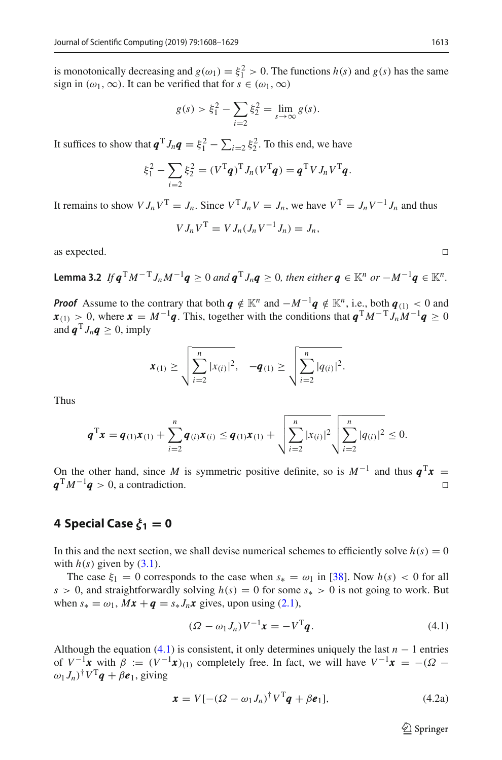is monotonically decreasing and  $g(\omega_1) = \xi_1^2 > 0$ . The functions  $h(s)$  and  $g(s)$  has the same sign in  $(\omega_1, \infty)$ . It can be verified that for  $s \in (\omega_1, \infty)$ 

$$
g(s) > \xi_1^2 - \sum_{i=2} \xi_2^2 = \lim_{s \to \infty} g(s).
$$

It suffices to show that  $\mathbf{q}^T J_n \mathbf{q} = \xi_1^2 - \sum_{i=2} \xi_2^2$ . To this end, we have

$$
\xi_1^2 - \sum_{i=2} \xi_2^2 = (V^{\mathrm{T}} \boldsymbol{q})^{\mathrm{T}} J_n (V^{\mathrm{T}} \boldsymbol{q}) = \boldsymbol{q}^{\mathrm{T}} V J_n V^{\mathrm{T}} \boldsymbol{q}.
$$

It remains to show  $V J_n V^T = J_n$ . Since  $V^T J_n V = J_n$ , we have  $V^T = J_n V^{-1} J_n$  and thus

$$
V J_n V^{\rm T} = V J_n (J_n V^{-1} J_n) = J_n,
$$

as expected.  $\square$ 

**Lemma 3.2** *If*  $q^T M^{-T} J_n M^{-1} q \ge 0$  *and*  $q^T J_n q \ge 0$ *, then either*  $q \in \mathbb{K}^n$  *or*  $-M^{-1} q \in \mathbb{K}^n$ *.* 

*Proof* Assume to the contrary that both *q* ∉  $\mathbb{K}^n$  and  $-M^{-1}q \notin \mathbb{K}^n$ , i.e., both *q*(1) < 0 and  $x_{(1)} > 0$ , where  $x = M^{-1}q$ . This, together with the conditions that  $q^{T}M^{-T}J_nM^{-1}q \ge 0$ and  $\mathbf{q}^T J_n \mathbf{q} > 0$ , imply

$$
\boldsymbol{x}_{(1)} \geq \sqrt{\sum_{i=2}^n |x_{(i)}|^2}, \quad -\boldsymbol{q}_{(1)} \geq \sqrt{\sum_{i=2}^n |q_{(i)}|^2}.
$$

Thus

$$
\boldsymbol{q}^{\mathrm{T}}\boldsymbol{x} = \boldsymbol{q}_{(1)}\boldsymbol{x}_{(1)} + \sum_{i=2}^{n} \boldsymbol{q}_{(i)}\boldsymbol{x}_{(i)} \leq \boldsymbol{q}_{(1)}\boldsymbol{x}_{(1)} + \sqrt{\sum_{i=2}^{n} |x_{(i)}|^2} \sqrt{\sum_{i=2}^{n} |q_{(i)}|^2} \leq 0.
$$

On the other hand, since *M* is symmetric positive definite, so is  $M^{-1}$  and thus  $q^T x =$  $q^{T}M^{-1}q > 0$ , a contradiction.  $\Box$ 

# <span id="page-5-0"></span>**4** Special Case  $\xi_1 = 0$

In this and the next section, we shall devise numerical schemes to efficiently solve  $h(s) = 0$ with  $h(s)$  given by  $(3.1)$ .

The case  $\xi_1 = 0$  corresponds to the case when  $s_* = \omega_1$  in [\[38\]](#page-21-0). Now  $h(s) < 0$  for all *s* > 0, and straightforwardly solving  $h(s) = 0$  for some  $s_* > 0$  is not going to work. But when  $s_* = \omega_1$ ,  $Mx + q = s_* J_n x$  gives, upon using [\(2.1\)](#page-3-0),

<span id="page-5-1"></span>
$$
(\Omega - \omega_1 J_n)V^{-1}\mathbf{x} = -V^{\mathrm{T}}\mathbf{q}.
$$
\n(4.1)

Although the equation  $(4.1)$  is consistent, it only determines uniquely the last *n* − 1 entries of  $V^{-1}x$  with  $\beta := (V^{-1}x)_{(1)}$  completely free. In fact, we will have  $V^{-1}x = -(\Omega \omega_1 J_n$ <sup>†</sup>*V*<sup>T</sup>**q** +  $\beta e_1$ , giving

<span id="page-5-2"></span>
$$
\mathbf{x} = V[-(\Omega - \omega_1 J_n)^{\dagger} V^{\mathrm{T}} \mathbf{q} + \beta \mathbf{e}_1], \tag{4.2a}
$$

 $\circled{2}$  Springer

$$
\Box
$$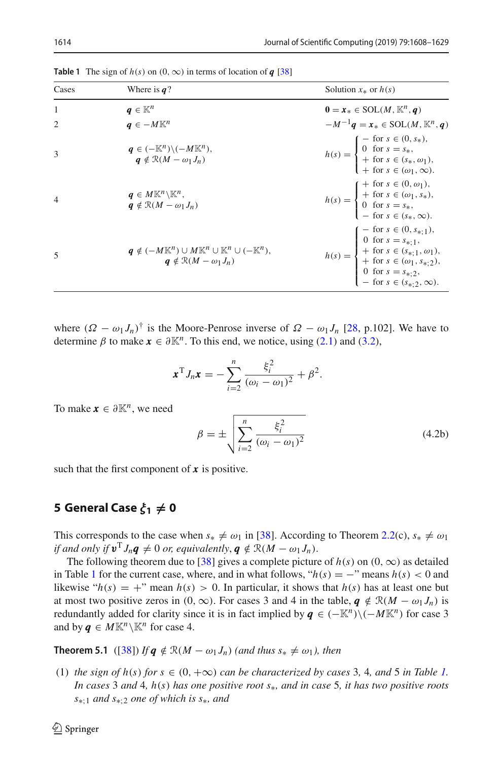| 14 |  |  |  |
|----|--|--|--|
|    |  |  |  |

<span id="page-6-1"></span>

| Cases          | Where is $q$ ?                                                                                                                           | Solution $x_*$ or $h(s)$                                                                                                                                                                                                                                                                 |
|----------------|------------------------------------------------------------------------------------------------------------------------------------------|------------------------------------------------------------------------------------------------------------------------------------------------------------------------------------------------------------------------------------------------------------------------------------------|
| $\overline{1}$ | $q \in \mathbb{K}^n$                                                                                                                     | $\mathbf{0} = \mathbf{x}_* \in \text{SOL}(M, \mathbb{K}^n, \mathbf{q})$                                                                                                                                                                                                                  |
|                | $q \in -M\mathbb{K}^n$                                                                                                                   | $-M^{-1}\boldsymbol{q} = \boldsymbol{x}_* \in \text{SOL}(M, \mathbb{K}^n, \boldsymbol{q})$                                                                                                                                                                                               |
| 3              | $q \in (-\mathbb{K}^n) \backslash (-M \mathbb{K}^n)$ ,<br>$q \notin \mathcal{R}(M - \omega_1 J_n)$                                       | $h(s) = \begin{cases} -\text{ for } s \in (0, s_*), \\ 0 \text{ for } s = s_*, \\ +\text{ for } s \in (s_*, \omega_1), \\ +\text{ for } s \in (\omega_1, \infty). \end{cases}$                                                                                                           |
| $\overline{4}$ | $q \in M\mathbb{K}^n\backslash \mathbb{K}^n$ ,<br>$a \notin \mathcal{R}(M - \omega_1 J_n)$                                               | $h(s) = \begin{cases} + \text{ for } s \in (0, \omega_1), \\ + \text{ for } s \in (\omega_1, s_*), \\ 0 \text{ for } s = s_*, \\ - \text{ for } s \in (s_*, \infty). \end{cases}$                                                                                                        |
| 5              | $\pmb{q} \notin (-M\mathbb{K}^n) \cup M\mathbb{K}^n \cup \mathbb{K}^n \cup (-\mathbb{K}^n),$<br>$a \notin \mathcal{R}(M - \omega_1 J_n)$ | $h(s) = \left\{ \begin{aligned} -\text{ for } s &\in (0,s_{*,1}), \\ 0\text{ for } s &= s_{*,1}, \\ +\text{ for } s &\in (s_{*,1},\omega_1), \\ +\text{ for } s &\in (\omega_1,s_{*,2}), \\ 0\text{ for } s &= s_{*,2}, \\ -\text{ for } s &\in (s_{*,2},\infty). \end{aligned} \right.$ |

**Table 1** The sign of  $h(s)$  on  $(0, \infty)$  in terms of location of *q* [\[38](#page-21-0)]

where  $(\Omega - \omega_1 J_n)^{\dagger}$  is the Moore-Penrose inverse of  $\Omega - \omega_1 J_n$  [\[28](#page-20-15), p.102]. We have to determine  $\beta$  to make  $x \in \partial \mathbb{K}^n$ . To this end, we notice, using [\(2.1\)](#page-3-0) and [\(3.2\)](#page-4-3),

$$
x^{T} J_{n} x = -\sum_{i=2}^{n} \frac{\xi_{i}^{2}}{(\omega_{i} - \omega_{1})^{2}} + \beta^{2}.
$$

To make  $\mathbf{x} \in \partial \mathbb{K}^n$ , we need

$$
\beta = \pm \sqrt{\sum_{i=2}^{n} \frac{\xi_i^2}{(\omega_i - \omega_1)^2}}
$$
(4.2b)

such that the first component of *x* is positive.

# <span id="page-6-0"></span>**5** General Case  $\xi_1 \neq 0$

This corresponds to the case when  $s_* \neq \omega_1$  in [\[38](#page-21-0)]. According to Theorem [2.2\(](#page-3-1)c),  $s_* \neq \omega_1$ *if and only if*  $v^T J_n q \neq 0$  *or, equivalently,*  $q \notin \mathcal{R}(M - \omega_1 J_n)$ .

The following theorem due to [\[38](#page-21-0)] gives a complete picture of  $h(s)$  on  $(0, \infty)$  as detailed in Table [1](#page-6-1) for the current case, where, and in what follows, " $h(s) = -$ " means  $h(s) < 0$  and likewise " $h(s) = +$ " mean  $h(s) > 0$ . In particular, it shows that  $h(s)$  has at least one but at most two positive zeros in  $(0, \infty)$ . For cases 3 and 4 in the table,  $q \notin \mathcal{R}(M - \omega_1 J_n)$  is redundantly added for clarity since it is in fact implied by  $q \in (-\mathbb{K}^n)\setminus(-M\mathbb{K}^n)$  for case 3 and by  $q \in M \mathbb{K}^n \setminus \mathbb{K}^n$  for case 4.

<span id="page-6-2"></span>**Theorem 5.1** ([\[38\]](#page-21-0)) *If q*  $\notin \mathcal{R}(M - \omega_1 J_n)$  *(and thus s*<sup>\*</sup>  $\neq \omega_1$ *), then* 

(1) *the sign of h(s) for*  $s \in (0, +\infty)$  *<i>can be characterized by cases* 3, 4, *and* 5 *in Table 1*. *In cases* 3 *and* 4*, h*(*s*) *has one positive root s*∗*, and in case* 5*, it has two positive roots s*∗;<sup>1</sup> *and s*∗;<sup>2</sup> *one of which is s*∗*, and*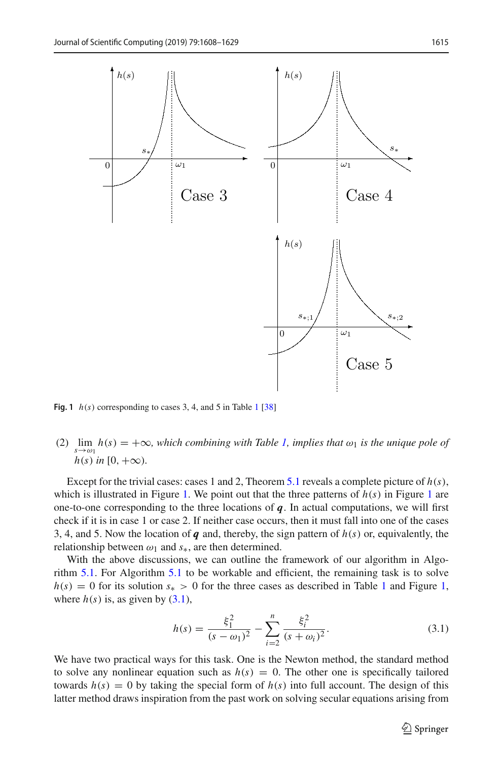

<span id="page-7-0"></span>**Fig. [1](#page-6-1)**  $h(s)$  corresponding to cases 3, 4, and 5 in Table 1 [\[38](#page-21-0)]

(2)  $\lim_{s \to \omega_1} h(s) = +\infty$ *, which combining with Table [1,](#page-6-1) implies that*  $\omega_1$  *is the unique pole of*  $h(s)$  *in* [0, + $\infty$ ).

Except for the trivial cases: cases 1 and 2, Theorem [5.1](#page-6-2) reveals a complete picture of  $h(s)$ , which is illustrated in Figure [1.](#page-7-0) We point out that the three patterns of  $h(s)$  in Figure [1](#page-7-0) are one-to-one corresponding to the three locations of  $q$ . In actual computations, we will first check if it is in case 1 or case 2. If neither case occurs, then it must fall into one of the cases 3, 4, and 5. Now the location of  $q$  and, thereby, the sign pattern of  $h(s)$  or, equivalently, the relationship between  $\omega_1$  and  $s_*$ , are then determined.

With the above discussions, we can outline the framework of our algorithm in Algorithm [5.1.](#page-8-0) For Algorithm [5.1](#page-8-0) to be workable and efficient, the remaining task is to solve  $h(s) = 0$  for its solution  $s_{*} > 0$  for the three cases as described in Table [1](#page-6-1) and Figure [1,](#page-7-0) where  $h(s)$  is, as given by  $(3.1)$ ,

$$
h(s) = \frac{\xi_1^2}{(s - \omega_1)^2} - \sum_{i=2}^n \frac{\xi_i^2}{(s + \omega_i)^2}.
$$
 (3.1)

We have two practical ways for this task. One is the Newton method, the standard method to solve any nonlinear equation such as  $h(s) = 0$ . The other one is specifically tailored towards  $h(s) = 0$  by taking the special form of  $h(s)$  into full account. The design of this latter method draws inspiration from the past work on solving secular equations arising from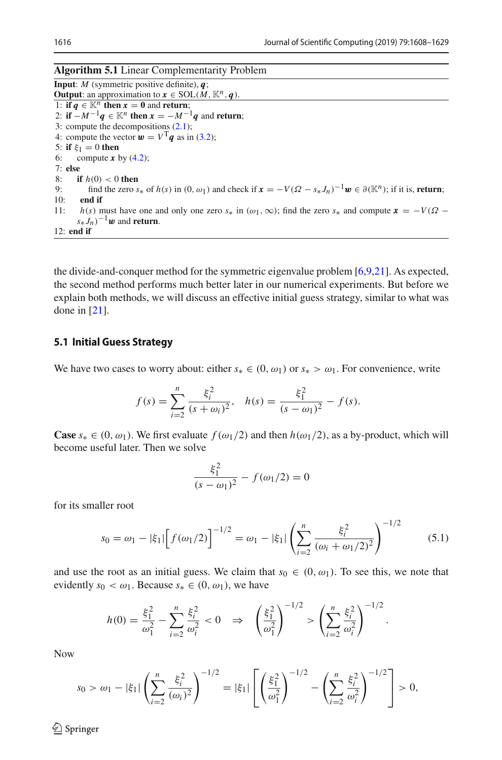<span id="page-8-0"></span>

| <b>Algorithm 5.1</b> Linear Complementarity Problem |  |  |
|-----------------------------------------------------|--|--|
|-----------------------------------------------------|--|--|

**Input**: *M* (symmetric positive definite), *q*; **Output**: an approximation to  $\mathbf{x} \in \text{SOL}(\mathbf{M}, \mathbb{K}^n, \mathbf{q})$ . 1: **if**  $q \text{ } \in \mathbb{K}^n$  **then**  $x = 0$  and **return**; 2: **if**  $-M^{-1}q \in \mathbb{K}^n$  **then**  $x = -M^{-1}q$  and **return**; 3: compute the decompositions [\(2.1\)](#page-3-0); 4: compute the vector  $\mathbf{w} = V^{\mathrm{T}} \mathbf{q}$  as in [\(3.2\)](#page-4-3); 5: **if**  $\xi_1 = 0$  **then**<br>6: compute **x** l compute  $x$  by  $(4.2)$ ; 7: **else** 8: **if**  $h(0) < 0$  **then**<br>9: **find** the zero s. 9: find the zero  $s_*$  of  $h(s)$  in  $(0, \omega_1)$  and check if  $\mathbf{x} = -V(\Omega - s_* J_n)^{-1} \mathbf{w} \in \partial(\mathbb{K}^n)$ ; if it is, **return**; end if 11: *h(s)* must have one and only one zero  $s_*$  in ( $\omega_1, \infty$ ); find the zero  $s_*$  and compute  $x = -V(\Omega (s_* J_n)^{-1}$ w and **return**. 12: **end if**

the divide-and-conquer method for the symmetric eigenvalue problem [\[6](#page-19-3)[,9](#page-20-16)[,21](#page-20-17)]. As expected, the second method performs much better later in our numerical experiments. But before we explain both methods, we will discuss an effective initial guess strategy, similar to what was done in [\[21](#page-20-17)].

## <span id="page-8-2"></span>**5.1 Initial Guess Strategy**

We have two cases to worry about: either  $s_* \in (0, \omega_1)$  or  $s_* > \omega_1$ . For convenience, write

$$
f(s) = \sum_{i=2}^{n} \frac{\xi_i^2}{(s + \omega_i)^2}, \quad h(s) = \frac{\xi_1^2}{(s - \omega_1)^2} - f(s).
$$

**Case**  $s_* \in (0, \omega_1)$ . We first evaluate  $f(\omega_1/2)$  and then  $h(\omega_1/2)$ , as a by-product, which will become useful later. Then we solve

$$
\frac{\xi_1^2}{(s-\omega_1)^2} - f(\omega_1/2) = 0
$$

for its smaller root

<span id="page-8-1"></span>
$$
s_0 = \omega_1 - |\xi_1| \left[ f(\omega_1/2) \right]^{-1/2} = \omega_1 - |\xi_1| \left( \sum_{i=2}^n \frac{\xi_i^2}{(\omega_i + \omega_1/2)^2} \right)^{-1/2} \tag{5.1}
$$

and use the root as an initial guess. We claim that  $s_0 \in (0, \omega_1)$ . To see this, we note that evidently  $s_0 < \omega_1$ . Because  $s_* \in (0, \omega_1)$ , we have

$$
h(0) = \frac{\xi_1^2}{\omega_1^2} - \sum_{i=2}^n \frac{\xi_i^2}{\omega_i^2} < 0 \quad \Rightarrow \quad \left(\frac{\xi_1^2}{\omega_1^2}\right)^{-1/2} > \left(\sum_{i=2}^n \frac{\xi_i^2}{\omega_i^2}\right)^{-1/2}.
$$

Now

$$
s_0 > \omega_1 - |\xi_1| \left( \sum_{i=2}^n \frac{\xi_i^2}{(\omega_i)^2} \right)^{-1/2} = |\xi_1| \left[ \left( \frac{\xi_1^2}{\omega_1^2} \right)^{-1/2} - \left( \sum_{i=2}^n \frac{\xi_i^2}{\omega_i^2} \right)^{-1/2} \right] > 0,
$$

 $\circledcirc$  Springer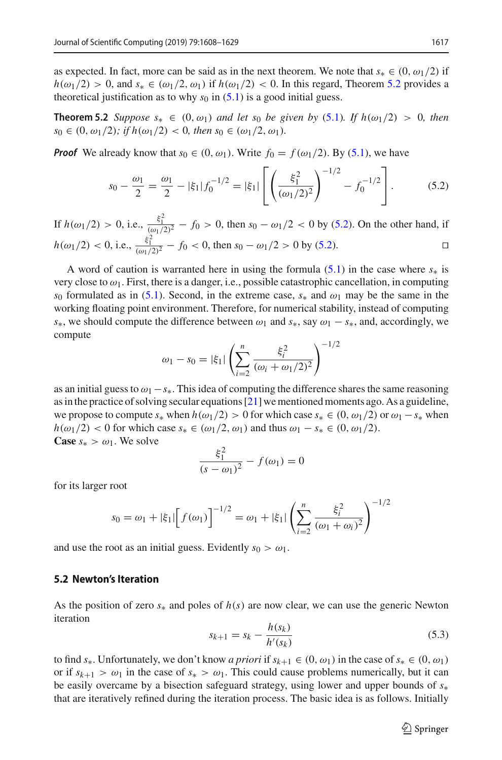as expected. In fact, more can be said as in the next theorem. We note that  $s_* \in (0, \omega_1/2)$  if  $h(\omega_1/2) > 0$ , and  $s_{*} \in (\omega_1/2, \omega_1)$  if  $h(\omega_1/2) < 0$ . In this regard, Theorem [5.2](#page-9-0) provides a theoretical justification as to why  $s_0$  in  $(5.1)$  is a good initial guess.

**Theorem 5.2** *Suppose*  $s_* \in (0, \omega_1)$  *and let*  $s_0$  *be given by* [\(5.1\)](#page-8-1)*. If*  $h(\omega_1/2) > 0$ *, then*  $s_0 \in (0, \omega_1/2)$ ; if  $h(\omega_1/2) < 0$ , then  $s_0 \in (\omega_1/2, \omega_1)$ .

*Proof* We already know that  $s_0 \in (0, \omega_1)$ . Write  $f_0 = f(\omega_1/2)$ . By [\(5.1\)](#page-8-1), we have

<span id="page-9-1"></span><span id="page-9-0"></span>
$$
s_0 - \frac{\omega_1}{2} = \frac{\omega_1}{2} - |\xi_1| f_0^{-1/2} = |\xi_1| \left[ \left( \frac{\xi_1^2}{(\omega_1/2)^2} \right)^{-1/2} - f_0^{-1/2} \right]. \tag{5.2}
$$

If  $h(\omega_1/2) > 0$ , i.e.,  $\frac{\xi_1^2}{(\omega_1/2)^2} - f_0 > 0$ , then  $s_0 - \omega_1/2 < 0$  by [\(5.2\)](#page-9-1). On the other hand, if  $h(\omega_1/2) < 0$ , i.e.,  $\frac{\xi_1^2}{(\omega_1/2)^2} - f_0 < 0$ , then  $s_0 - \omega_1/2 > 0$  by [\(5.2\)](#page-9-1).  $\Box$ 

A word of caution is warranted here in using the formula  $(5.1)$  in the case where  $s<sub>*</sub>$  is very close to  $\omega_1$ . First, there is a danger, i.e., possible catastrophic cancellation, in computing *s*<sub>0</sub> formulated as in [\(5.1\)](#page-8-1). Second, in the extreme case,  $s_*$  and  $\omega_1$  may be the same in the working floating point environment. Therefore, for numerical stability, instead of computing *s*<sup>∗</sup>, we should compute the difference between  $\omega_1$  and  $s$ <sup>\*</sup>, say  $\omega_1 - s$ <sup>\*</sup>, and, accordingly, we compute

$$
\omega_1 - s_0 = |\xi_1| \left( \sum_{i=2}^n \frac{\xi_i^2}{(\omega_i + \omega_1/2)^2} \right)^{-1/2}
$$

as an initial guess to ω1−*s*∗. This idea of computing the difference shares the same reasoning as in the practice of solving secular equations [\[21](#page-20-17)] we mentioned moments ago. As a guideline, we propose to compute  $s_*$  when  $h(\omega_1/2) > 0$  for which case  $s_* \in (0, \omega_1/2)$  or  $\omega_1 - s_*$  when  $h(\omega_1/2)$  < 0 for which case  $s_* \in (\omega_1/2, \omega_1)$  and thus  $\omega_1 - s_* \in (0, \omega_1/2)$ . **Case**  $s_* > \omega_1$ . We solve

$$
\frac{\xi_1^2}{(s - \omega_1)^2} - f(\omega_1) = 0
$$

for its larger root

$$
s_0 = \omega_1 + |\xi_1| \left[ f(\omega_1) \right]^{-1/2} = \omega_1 + |\xi_1| \left( \sum_{i=2}^n \frac{\xi_i^2}{(\omega_1 + \omega_i)^2} \right)^{-1/2}
$$

and use the root as an initial guess. Evidently  $s_0 > \omega_1$ .

#### **5.2 Newton's Iteration**

As the position of zero *s*<sup>∗</sup> and poles of *h*(*s*) are now clear, we can use the generic Newton iteration

<span id="page-9-2"></span>
$$
s_{k+1} = s_k - \frac{h(s_k)}{h'(s_k)}
$$
\n(5.3)

to find  $s_{*}$ . Unfortunately, we don't know *a priori* if  $s_{k+1} \in (0, \omega_{1})$  in the case of  $s_{*} \in (0, \omega_{1})$ or if  $s_{k+1} > \omega_1$  in the case of  $s_* > \omega_1$ . This could cause problems numerically, but it can be easily overcame by a bisection safeguard strategy, using lower and upper bounds of *s*<sup>∗</sup> that are iteratively refined during the iteration process. The basic idea is as follows. Initially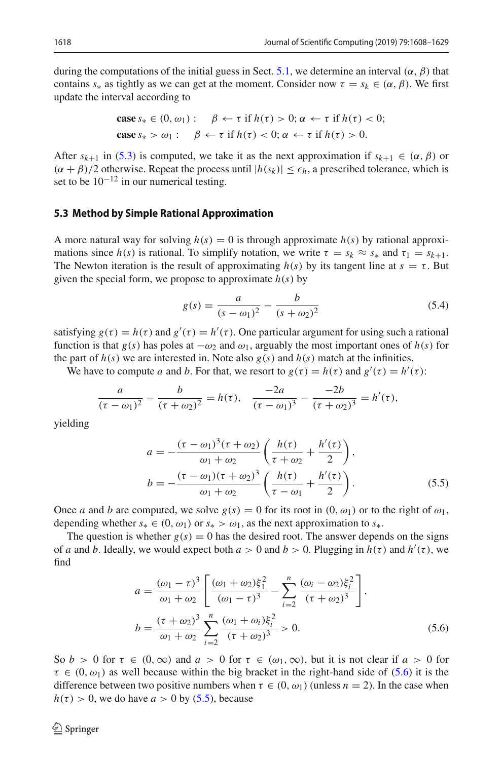during the computations of the initial guess in Sect. [5.1,](#page-8-2) we determine an interval  $(\alpha, \beta)$  that contains  $s_*$  as tightly as we can get at the moment. Consider now  $\tau = s_k \in (\alpha, \beta)$ . We first update the interval according to

$$
\begin{aligned}\n\textbf{case } s_* \in (0, \omega_1): \quad & \beta \leftarrow \tau \text{ if } h(\tau) > 0; \alpha \leftarrow \tau \text{ if } h(\tau) < 0; \\
\textbf{case } s_* > \omega_1: \quad & \beta \leftarrow \tau \text{ if } h(\tau) < 0; \alpha \leftarrow \tau \text{ if } h(\tau) > 0.\n\end{aligned}
$$

After  $s_{k+1}$  in [\(5.3\)](#page-9-2) is computed, we take it as the next approximation if  $s_{k+1} \in (\alpha, \beta)$  or  $(\alpha + \beta)/2$  otherwise. Repeat the process until  $|h(s_k)| \leq \epsilon_h$ , a prescribed tolerance, which is set to be  $10^{-12}$  in our numerical testing.

#### <span id="page-10-3"></span>**5.3 Method by Simple Rational Approximation**

A more natural way for solving  $h(s) = 0$  is through approximate  $h(s)$  by rational approximations since  $h(s)$  is rational. To simplify notation, we write  $\tau = s_k \approx s_*$  and  $\tau_1 = s_{k+1}$ . The Newton iteration is the result of approximating  $h(s)$  by its tangent line at  $s = \tau$ . But given the special form, we propose to approximate  $h(s)$  by

<span id="page-10-2"></span>
$$
g(s) = \frac{a}{(s - \omega_1)^2} - \frac{b}{(s + \omega_2)^2} \tag{5.4}
$$

satisfying  $g(\tau) = h(\tau)$  and  $g'(\tau) = h'(\tau)$ . One particular argument for using such a rational function is that *g*(*s*) has poles at  $-\omega_2$  and  $\omega_1$ , arguably the most important ones of *h*(*s*) for the part of  $h(s)$  we are interested in. Note also  $g(s)$  and  $h(s)$  match at the infinities.

We have to compute *a* and *b*. For that, we resort to  $g(\tau) = h(\tau)$  and  $g'(\tau) = h'(\tau)$ :

$$
\frac{a}{(\tau - \omega_1)^2} - \frac{b}{(\tau + \omega_2)^2} = h(\tau), \quad \frac{-2a}{(\tau - \omega_1)^3} - \frac{-2b}{(\tau + \omega_2)^3} = h'(\tau),
$$

yielding

<span id="page-10-1"></span>
$$
a = -\frac{(\tau - \omega_1)^3 (\tau + \omega_2)}{\omega_1 + \omega_2} \left( \frac{h(\tau)}{\tau + \omega_2} + \frac{h'(\tau)}{2} \right),
$$
  
\n
$$
b = -\frac{(\tau - \omega_1)(\tau + \omega_2)^3}{\omega_1 + \omega_2} \left( \frac{h(\tau)}{\tau - \omega_1} + \frac{h'(\tau)}{2} \right).
$$
 (5.5)

Once *a* and *b* are computed, we solve  $g(s) = 0$  for its root in  $(0, \omega_1)$  or to the right of  $\omega_1$ , depending whether  $s_* \in (0, \omega_1)$  or  $s_* > \omega_1$ , as the next approximation to  $s_*$ .

The question is whether  $g(s) = 0$  has the desired root. The answer depends on the signs of *a* and *b*. Ideally, we would expect both  $a > 0$  and  $b > 0$ . Plugging in  $h(\tau)$  and  $h'(\tau)$ , we find

<span id="page-10-0"></span>
$$
a = \frac{(\omega_1 - \tau)^3}{\omega_1 + \omega_2} \left[ \frac{(\omega_1 + \omega_2)\xi_1^2}{(\omega_1 - \tau)^3} - \sum_{i=2}^n \frac{(\omega_i - \omega_2)\xi_i^2}{(\tau + \omega_2)^3} \right],
$$
  
\n
$$
b = \frac{(\tau + \omega_2)^3}{\omega_1 + \omega_2} \sum_{i=2}^n \frac{(\omega_1 + \omega_i)\xi_i^2}{(\tau + \omega_2)^3} > 0.
$$
 (5.6)

So  $b > 0$  for  $\tau \in (0, \infty)$  and  $a > 0$  for  $\tau \in (\omega_1, \infty)$ , but it is not clear if  $a > 0$  for  $\tau \in (0, \omega_1)$  as well because within the big bracket in the right-hand side of [\(5.6\)](#page-10-0) it is the difference between two positive numbers when  $\tau \in (0, \omega_1)$  (unless  $n = 2$ ). In the case when  $h(\tau) > 0$ , we do have  $a > 0$  by [\(5.5\)](#page-10-1), because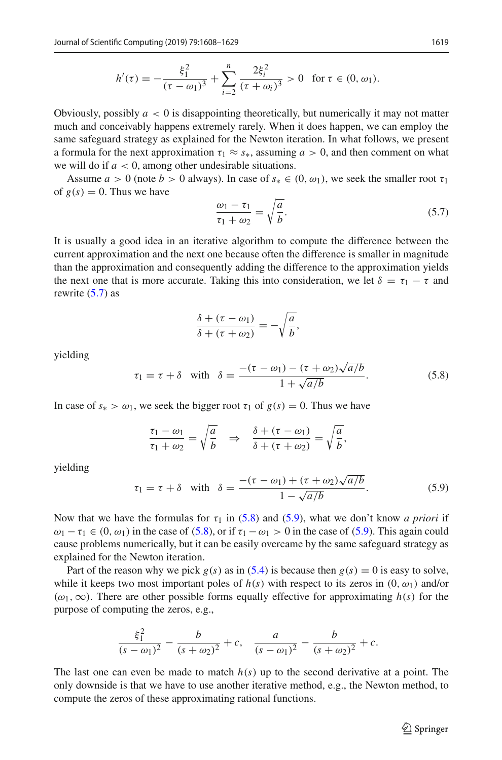$$
h'(\tau) = -\frac{\xi_1^2}{(\tau - \omega_1)^3} + \sum_{i=2}^n \frac{2\xi_i^2}{(\tau + \omega_i)^3} > 0 \text{ for } \tau \in (0, \omega_1).
$$

Obviously, possibly  $a < 0$  is disappointing theoretically, but numerically it may not matter much and conceivably happens extremely rarely. When it does happen, we can employ the same safeguard strategy as explained for the Newton iteration. In what follows, we present a formula for the next approximation  $\tau_1 \approx s_*$ , assuming  $a > 0$ , and then comment on what we will do if  $a < 0$ , among other undesirable situations.

Assume  $a > 0$  (note  $b > 0$  always). In case of  $s_* \in (0, \omega_1)$ , we seek the smaller root  $\tau_1$ of  $g(s) = 0$ . Thus we have

<span id="page-11-0"></span>
$$
\frac{\omega_1 - \tau_1}{\tau_1 + \omega_2} = \sqrt{\frac{a}{b}}.\tag{5.7}
$$

It is usually a good idea in an iterative algorithm to compute the difference between the current approximation and the next one because often the difference is smaller in magnitude than the approximation and consequently adding the difference to the approximation yields the next one that is more accurate. Taking this into consideration, we let  $\delta = \tau_1 - \tau$  and rewrite  $(5.7)$  as

$$
\frac{\delta + (\tau - \omega_1)}{\delta + (\tau + \omega_2)} = -\sqrt{\frac{a}{b}},
$$

yielding

<span id="page-11-1"></span>
$$
\tau_1 = \tau + \delta \quad \text{with} \quad \delta = \frac{-(\tau - \omega_1) - (\tau + \omega_2)\sqrt{a/b}}{1 + \sqrt{a/b}}.
$$
\n
$$
(5.8)
$$

In case of  $s_* > \omega_1$ , we seek the bigger root  $\tau_1$  of  $g(s) = 0$ . Thus we have

$$
\frac{\tau_1 - \omega_1}{\tau_1 + \omega_2} = \sqrt{\frac{a}{b}} \quad \Rightarrow \quad \frac{\delta + (\tau - \omega_1)}{\delta + (\tau + \omega_2)} = \sqrt{\frac{a}{b}},
$$

yielding

<span id="page-11-2"></span>
$$
\tau_1 = \tau + \delta \quad \text{with} \quad \delta = \frac{-(\tau - \omega_1) + (\tau + \omega_2)\sqrt{a/b}}{1 - \sqrt{a/b}}.
$$
\n
$$
(5.9)
$$

Now that we have the formulas for  $\tau_1$  in [\(5.8\)](#page-11-1) and [\(5.9\)](#page-11-2), what we don't know *a priori* if  $\omega_1 - \tau_1 \in (0, \omega_1)$  in the case of [\(5.8\)](#page-11-1), or if  $\tau_1 - \omega_1 > 0$  in the case of [\(5.9\)](#page-11-2). This again could cause problems numerically, but it can be easily overcame by the same safeguard strategy as explained for the Newton iteration.

Part of the reason why we pick  $g(s)$  as in [\(5.4\)](#page-10-2) is because then  $g(s) = 0$  is easy to solve, while it keeps two most important poles of  $h(s)$  with respect to its zeros in  $(0, \omega_1)$  and/or  $(\omega_1, \infty)$ . There are other possible forms equally effective for approximating  $h(s)$  for the purpose of computing the zeros, e.g.,

$$
\frac{\xi_1^2}{(s-\omega_1)^2} - \frac{b}{(s+\omega_2)^2} + c, \quad \frac{a}{(s-\omega_1)^2} - \frac{b}{(s+\omega_2)^2} + c.
$$

The last one can even be made to match *h*(*s*) up to the second derivative at a point. The only downside is that we have to use another iterative method, e.g., the Newton method, to compute the zeros of these approximating rational functions.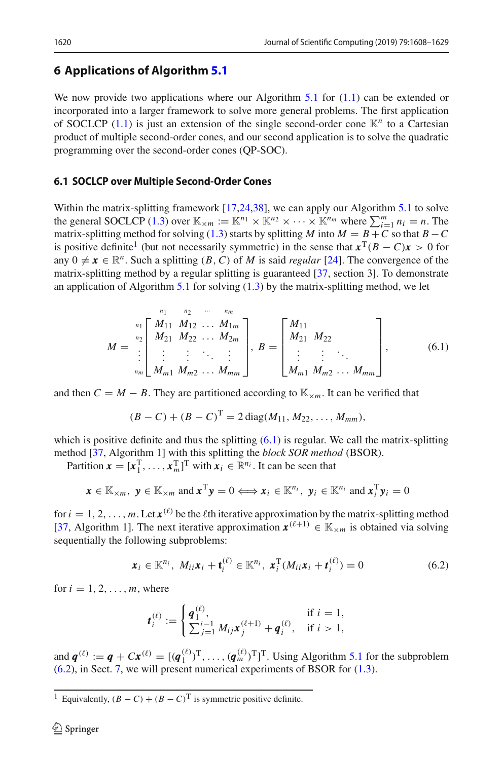# <span id="page-12-0"></span>**6 Applications of Algorithm [5.1](#page-8-0)**

We now provide two applications where our Algorithm [5.1](#page-8-0) for  $(1.1)$  can be extended or incorporated into a larger framework to solve more general problems. The first application of SOCLCP [\(1.1\)](#page-1-0) is just an extension of the single second-order cone K*<sup>n</sup>* to a Cartesian product of multiple second-order cones, and our second application is to solve the quadratic programming over the second-order cones (QP-SOC).

## <span id="page-12-4"></span>**6.1 SOCLCP over Multiple Second-Order Cones**

Within the matrix-splitting framework [\[17](#page-20-18)[,24](#page-20-19)[,38](#page-21-0)], we can apply our Algorithm [5.1](#page-8-0) to solve the general SOCLCP [\(1.3\)](#page-1-1) over  $\mathbb{K}_{\times m} := \mathbb{K}^{n_1} \times \mathbb{K}^{n_2} \times \cdots \times \mathbb{K}^{n_m}$  where  $\sum_{i=1}^m n_i = n$ . The matrix-splitting method for solving [\(1.3\)](#page-1-1) starts by splitting *M* into  $M = B + C$  so that  $B - C$ is positive definite<sup>[1](#page-12-1)</sup> (but not necessarily symmetric) in the sense that  $x^T(B - C)x > 0$  for any  $0 \neq x \in \mathbb{R}^n$ . Such a splitting  $(B, C)$  of *M* is said *regular* [\[24](#page-20-19)]. The convergence of the matrix-splitting method by a regular splitting is guaranteed [\[37](#page-20-12), section 3]. To demonstrate an application of Algorithm [5.1](#page-8-0) for solving  $(1.3)$  by the matrix-splitting method, we let

<span id="page-12-2"></span>
$$
M = \begin{bmatrix} n_1 & n_2 & \cdots & n_m \\ M_{11} & M_{12} & \cdots & M_{1m} \\ M_{21} & M_{22} & \cdots & M_{2m} \\ \vdots & \vdots & \ddots & \vdots \\ M_{m1} & M_{m2} & \cdots & M_{mm} \end{bmatrix}, B = \begin{bmatrix} M_{11} \\ M_{21} & M_{22} \\ \vdots & \vdots \\ M_{m1} & M_{m2} & \cdots & M_{mm} \end{bmatrix}, \qquad (6.1)
$$

and then  $C = M - B$ . They are partitioned according to  $\mathbb{K}_{\times m}$ . It can be verified that

$$
(B - C) + (B - C)T = 2 diag(M11, M22, ..., Mmm),
$$

which is positive definite and thus the splitting  $(6.1)$  is regular. We call the matrix-splitting method [\[37,](#page-20-12) Algorithm 1] with this splitting the *block SOR method* (BSOR).

Partition  $\mathbf{x} = [\mathbf{x}_1^T, \dots, \mathbf{x}_m^T]^T$  with  $\mathbf{x}_i \in \mathbb{R}^{n_i}$ . It can be seen that

$$
\boldsymbol{x} \in \mathbb{K}_{\times m}, \ \boldsymbol{y} \in \mathbb{K}_{\times m} \text{ and } \boldsymbol{x}^{\mathrm{T}} \boldsymbol{y} = 0 \Longleftrightarrow \boldsymbol{x}_i \in \mathbb{K}^{n_i}, \ \boldsymbol{y}_i \in \mathbb{K}^{n_i} \text{ and } \boldsymbol{x}_i^{\mathrm{T}} \boldsymbol{y}_i = 0
$$

for  $i = 1, 2, ..., m$ . Let  $\mathbf{x}^{(\ell)}$  be the  $\ell$ th iterative approximation by the matrix-splitting method [\[37,](#page-20-12) Algorithm 1]. The next iterative approximation  $x^{(\ell+1)} \in \mathbb{K}_{\times m}$  is obtained via solving sequentially the following subproblems:

<span id="page-12-3"></span>
$$
\boldsymbol{x}_i \in \mathbb{K}^{n_i}, \ M_{ii}\boldsymbol{x}_i + \mathbf{t}_i^{(\ell)} \in \mathbb{K}^{n_i}, \ \boldsymbol{x}_i^{\mathrm{T}}(M_{ii}\boldsymbol{x}_i + \boldsymbol{t}_i^{(\ell)}) = 0 \tag{6.2}
$$

for  $i = 1, 2, \ldots, m$ , where

$$
\boldsymbol{t}_{i}^{(\ell)} := \begin{cases} \boldsymbol{q}_{1}^{(\ell)}, & \text{if } i = 1, \\ \sum_{j=1}^{i-1} M_{ij} \boldsymbol{x}_{j}^{(\ell+1)} + \boldsymbol{q}_{i}^{(\ell)}, & \text{if } i > 1, \end{cases}
$$

and  $\mathbf{q}^{(\ell)} := \mathbf{q} + C\mathbf{x}^{(\ell)} = [(\mathbf{q}_1^{(\ell)})^T, \dots, (\mathbf{q}_m^{(\ell)})^T]^T$ . Using Algorithm [5.1](#page-8-0) for the subproblem [\(6.2\)](#page-12-3), in Sect. [7,](#page-13-0) we will present numerical experiments of BSOR for [\(1.3\)](#page-1-1).

<span id="page-12-1"></span><sup>&</sup>lt;sup>1</sup> Equivalently,  $(B - C) + (B - C)^T$  is symmetric positive definite.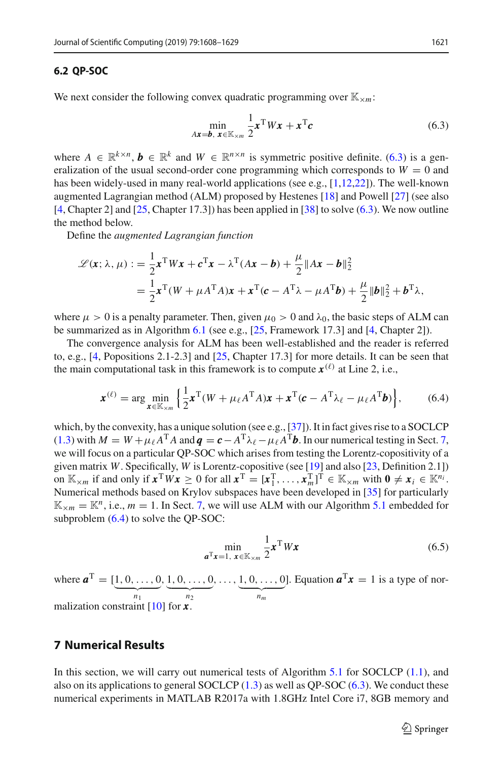#### **6.2 QP-SOC**

We next consider the following convex quadratic programming over  $\mathbb{K}_{\times m}$ :

<span id="page-13-1"></span>
$$
\min_{Ax = b, x \in \mathbb{K}_{\times m}} \frac{1}{2} x^{\mathrm{T}} W x + x^{\mathrm{T}} c \tag{6.3}
$$

where  $A \in \mathbb{R}^{k \times n}$ ,  $b \in \mathbb{R}^{k}$  and  $W \in \mathbb{R}^{n \times n}$  is symmetric positive definite. [\(6.3\)](#page-13-1) is a generalization of the usual second-order cone programming which corresponds to  $W = 0$  and has been widely-used in many real-world applications (see e.g., [\[1](#page-19-4)[,12](#page-20-20)[,22](#page-20-21)]). The well-known augmented Lagrangian method (ALM) proposed by Hestenes [\[18](#page-20-13)] and Powell [\[27](#page-20-14)] (see also  $[4, Chapter 2]$  $[4, Chapter 2]$  and  $[25, Chapter 17.3]$  $[25, Chapter 17.3]$  has been applied in  $[38]$  to solve  $(6.3)$ . We now outline the method below.

Define the *augmented Lagrangian function*

$$
\mathcal{L}(\mathbf{x}; \lambda, \mu) := \frac{1}{2} \mathbf{x}^{\mathrm{T}} W \mathbf{x} + \mathbf{c}^{\mathrm{T}} \mathbf{x} - \lambda^{\mathrm{T}} (A \mathbf{x} - \mathbf{b}) + \frac{\mu}{2} \|A \mathbf{x} - \mathbf{b}\|_{2}^{2}
$$
  
= 
$$
\frac{1}{2} \mathbf{x}^{\mathrm{T}} (W + \mu A^{\mathrm{T}} A) \mathbf{x} + \mathbf{x}^{\mathrm{T}} (\mathbf{c} - A^{\mathrm{T}} \lambda - \mu A^{\mathrm{T}} \mathbf{b}) + \frac{\mu}{2} \| \mathbf{b} \|_{2}^{2} + \mathbf{b}^{\mathrm{T}} \lambda,
$$

where  $\mu > 0$  is a penalty parameter. Then, given  $\mu_0 > 0$  and  $\lambda_0$ , the basic steps of ALM can be summarized as in Algorithm [6.1](#page-14-0) (see e.g., [\[25,](#page-20-22) Framework 17.3] and [\[4](#page-19-5), Chapter 2]).

The convergence analysis for ALM has been well-established and the reader is referred to, e.g., [\[4,](#page-19-5) Popositions 2.1-2.3] and [\[25,](#page-20-22) Chapter 17.3] for more details. It can be seen that the main computational task in this framework is to compute  $x^{(\ell)}$  at Line 2, i.e.,

<span id="page-13-2"></span>
$$
\boldsymbol{x}^{(\ell)} = \arg\min_{\boldsymbol{x} \in \mathbb{K}_{\times m}} \left\{ \frac{1}{2} \boldsymbol{x}^{\mathrm{T}} (W + \mu_{\ell} A^{\mathrm{T}} A) \boldsymbol{x} + \boldsymbol{x}^{\mathrm{T}} (\boldsymbol{c} - A^{\mathrm{T}} \lambda_{\ell} - \mu_{\ell} A^{\mathrm{T}} \boldsymbol{b}) \right\},\tag{6.4}
$$

which, by the convexity, has a unique solution (see e.g., [\[37](#page-20-12)]). It in fact gives rise to a SOCLCP [\(1.3\)](#page-1-1) with  $M = W + \mu_{\ell} A^{T} A$  and  $\mathbf{q} = \mathbf{c} - A^{T} \lambda_{\ell} - \mu_{\ell} A^{T} \mathbf{b}$ . In our numerical testing in Sect. [7,](#page-13-0) we will focus on a particular QP-SOC which arises from testing the Lorentz-copositivity of a given matrix *W*. Specifically, *W* is Lorentz-copositive (see [\[19](#page-20-23)] and also [\[23](#page-20-24), Definition 2.1]) on  $\mathbb{K}_{\times,m}$  if and only if  $\mathbf{x}^T W \mathbf{x} \ge 0$  for all  $\mathbf{x}^T = [\mathbf{x}_1^T, \dots, \mathbf{x}_m^T]^T \in \mathbb{K}_{\times,m}$  with  $\mathbf{0} \ne \mathbf{x}_i \in \mathbb{K}^{n_i}$ . Numerical methods based on Krylov subspaces have been developed in [\[35\]](#page-20-25) for particularly  $\mathbb{K}_{\times m} = \mathbb{K}^n$ , i.e.,  $m = 1$ . In Sect. [7,](#page-13-0) we will use ALM with our Algorithm [5.1](#page-8-0) embedded for subproblem [\(6.4\)](#page-13-2) to solve the QP-SOC:

<span id="page-13-3"></span>
$$
\min_{a^{\mathrm{T}}\mathbf{x}=1, \mathbf{x}\in\mathbb{K}_{\times m}} \frac{1}{2} \mathbf{x}^{\mathrm{T}} W \mathbf{x}
$$
 (6.5)

where  $\mathbf{a}^{\mathrm{T}} = [\underline{1}, 0, \dots, 0]$  $\overbrace{n_1}$  $, 1, 0, \ldots, 0$  $\overbrace{n_2}$  $, \ldots, 1, 0, \ldots, 0$  $\overbrace{n_m}$ ]. Equation  $\mathbf{a}^T \mathbf{x} = 1$  is a type of normalization constraint [\[10\]](#page-20-26) for *x* .

# <span id="page-13-0"></span>**7 Numerical Results**

In this section, we will carry out numerical tests of Algorithm [5.1](#page-8-0) for SOCLCP [\(1.1\)](#page-1-0), and also on its applications to general SOCLCP  $(1.3)$  as well as QP-SOC  $(6.3)$ . We conduct these numerical experiments in MATLAB R2017a with 1.8GHz Intel Core i7, 8GB memory and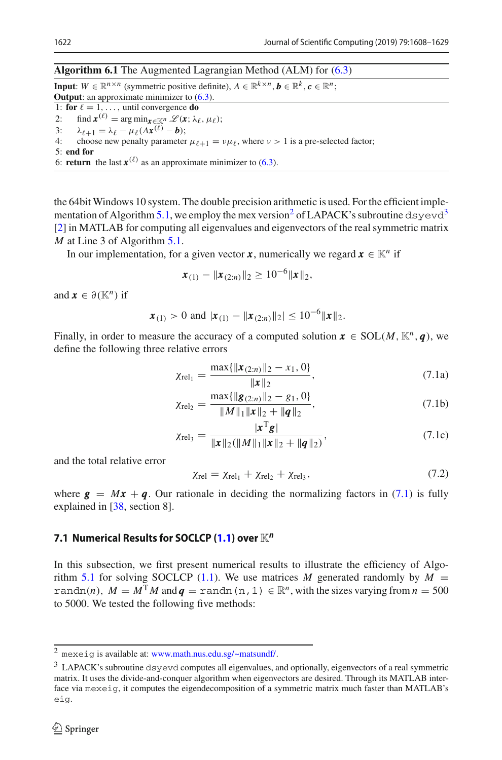#### <span id="page-14-0"></span>**Algorithm 6.1** The Augmented Lagrangian Method (ALM) for [\(6.3\)](#page-13-1)

**Input**:  $W \in \mathbb{R}^{n \times n}$  (symmetric positive definite),  $A \in \mathbb{R}^{k \times n}$ ,  $b \in \mathbb{R}^k$ ,  $c \in \mathbb{R}^n$ ; **Output**: an approximate minimizer to  $(6.3)$ . 1: **for**  $\ell = 1, ...,$  until convergence **do**<br>2: find  $\mathbf{x}^{(\ell)} = \arg \min_{\mathbf{x} \in \mathbb{K}^n} \mathcal{L}(\mathbf{x} \cdot \lambda)$ 2: find  $\mathbf{x}^{(\ell)} = \arg \min_{\mathbf{x} \in \mathbb{K}^n} \mathcal{L}(\mathbf{x}; \lambda_{\ell}, \mu_{\ell});$ <br>3:  $\lambda_{\ell+1} = \lambda_{\ell} - \mu_{\ell}(A\mathbf{x}^{(\ell)} - \mathbf{b});$ 3:  $\lambda_{\ell+1} = \lambda_{\ell} - \mu_{\ell} (A \mathbf{x}^{(\ell)} - \mathbf{b});$ <br>4: choose new penalty parameter choose new penalty parameter  $\mu_{\ell+1} = v\mu_{\ell}$ , where  $v > 1$  is a pre-selected factor; 5: **end for** 6: **return** the last  $x^{(\ell)}$  as an approximate minimizer to [\(6.3\)](#page-13-1).

the 64bit Windows 10 system. The double precision arithmetic is used. For the efficient imple-mentation of Algorithm [5.1,](#page-8-0) we employ the mex version<sup>[2](#page-14-1)</sup> of LAPACK's subroutine dsyevd<sup>[3](#page-14-2)</sup> [\[2](#page-19-1)] in MATLAB for computing all eigenvalues and eigenvectors of the real symmetric matrix *M* at Line 3 of Algorithm [5.1.](#page-8-0)

In our implementation, for a given vector *x*, numerically we regard  $x \in \mathbb{K}^n$  if

$$
\mathbf{x}_{(1)} - \|\mathbf{x}_{(2:n)}\|_2 \geq 10^{-6} \|\mathbf{x}\|_2,
$$

and  $\mathbf{x} \in \partial(\mathbb{K}^n)$  if

$$
\mathbf{x}_{(1)} > 0
$$
 and  $|\mathbf{x}_{(1)} - ||\mathbf{x}_{(2:n)}||_2 \le 10^{-6} ||\mathbf{x}||_2$ .

Finally, in order to measure the accuracy of a computed solution  $\mathbf{x} \in \text{SOL}(M, \mathbb{K}^n, \mathbf{q})$ , we define the following three relative errors

<span id="page-14-3"></span>
$$
\chi_{\text{rel}_1} = \frac{\max\{\|\mathbf{x}_{(2:n)}\|_2 - x_1, 0\}}{\|\mathbf{x}\|_2},\tag{7.1a}
$$

$$
\chi_{\text{rel}_2} = \frac{\max\{\|\mathbf{g}_{(2:n)}\|_2 - g_1, 0\}}{\|M\|_1 \|\mathbf{x}\|_2 + \|\mathbf{q}\|_2},\tag{7.1b}
$$

$$
\chi_{\text{rel}_3} = \frac{|\mathbf{x}^{\text{T}}\mathbf{g}|}{\|\mathbf{x}\|_2(\|\mathbf{M}\|_1 \|\mathbf{x}\|_2 + \|\mathbf{q}\|_2)},\tag{7.1c}
$$

and the total relative error

<span id="page-14-5"></span>
$$
\chi_{\text{rel}} = \chi_{\text{rel}_1} + \chi_{\text{rel}_2} + \chi_{\text{rel}_3},\tag{7.2}
$$

where  $g = Mx + q$ . Our rationale in deciding the normalizing factors in [\(7.1\)](#page-14-3) is fully explained in [\[38,](#page-21-0) section 8].

## <span id="page-14-4"></span>**7.1 Numerical Results for SOCLCP [\(1.1\)](#page-1-0) over** K*<sup>n</sup>*

In this subsection, we first present numerical results to illustrate the efficiency of Algo-rithm [5.1](#page-8-0) for solving SOCLCP [\(1.1\)](#page-1-0). We use matrices *M* generated randomly by  $M =$ randn(*n*),  $M = M<sup>T</sup>M$  and  $q =$  randn(n, 1)  $\in \mathbb{R}^n$ , with the sizes varying from  $n = 500$ to 5000. We tested the following five methods:

 $2$  mexeig is available at: [www.math.nus.edu.sg/~matsundf/.](www.math.nus.edu.sg/~matsundf/)

<span id="page-14-2"></span><span id="page-14-1"></span><sup>&</sup>lt;sup>3</sup> LAPACK's subroutine dsyevd computes all eigenvalues, and optionally, eigenvectors of a real symmetric matrix. It uses the divide-and-conquer algorithm when eigenvectors are desired. Through its MATLAB interface via mexeig, it computes the eigendecomposition of a symmetric matrix much faster than MATLAB's eig.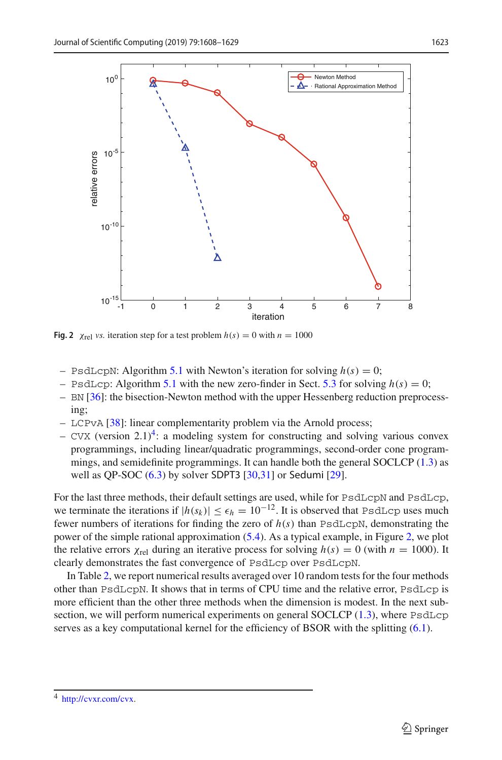

<span id="page-15-1"></span>**Fig. 2**  $\chi_{\text{rel}}$  *vs.* iteration step for a test problem  $h(s) = 0$  with  $n = 1000$ 

- $-$  PsdLcpN: Algorithm [5.1](#page-8-0) with Newton's iteration for solving  $h(s) = 0$ ;
- $-$  PsdLcp: Algorithm [5.1](#page-8-0) with the new zero-finder in Sect. [5.3](#page-10-3) for solving  $h(s) = 0$ ;
- BN [\[36](#page-20-3)]: the bisection-Newton method with the upper Hessenberg reduction preprocessing;
- LCPvA [\[38\]](#page-21-0): linear complementarity problem via the Arnold process;
- CVX (version 2.1)<sup>4</sup>: a modeling system for constructing and solving various convex programmings, including linear/quadratic programmings, second-order cone programmings, and semidefinite programmings. It can handle both the general SOCLCP [\(1.3\)](#page-1-1) as well as QP-SOC [\(6.3\)](#page-13-1) by solver SDPT3 [\[30](#page-20-27)[,31](#page-20-28)] or Sedumi [\[29\]](#page-20-29).

For the last three methods, their default settings are used, while for PsdLcpN and PsdLcp, we terminate the iterations if  $|h(s_k)| \leq \epsilon_h = 10^{-12}$ . It is observed that PsdLcp uses much fewer numbers of iterations for finding the zero of  $h(s)$  than PsdLcpN, demonstrating the power of the simple rational approximation [\(5.4\)](#page-10-2). As a typical example, in Figure [2,](#page-15-1) we plot the relative errors  $\chi_{\text{rel}}$  during an iterative process for solving  $h(s) = 0$  (with  $n = 1000$ ). It clearly demonstrates the fast convergence of PsdLcp over PsdLcpN.

In Table [2,](#page-16-0) we report numerical results averaged over 10 random tests for the four methods other than PsdLcpN. It shows that in terms of CPU time and the relative error, PsdLcp is more efficient than the other three methods when the dimension is modest. In the next sub-section, we will perform numerical experiments on general SOCLCP [\(1.3\)](#page-1-1), where PsdLcp serves as a key computational kernel for the efficiency of BSOR with the splitting [\(6.1\)](#page-12-2).

<span id="page-15-0"></span><sup>4</sup> [http://cvxr.com/cvx.](http://cvxr.com/cvx)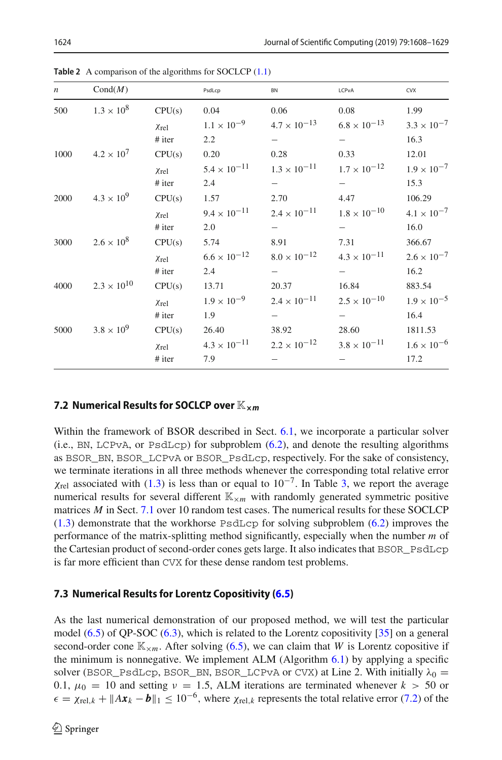<span id="page-16-0"></span>

| $\boldsymbol{n}$ | Cond(M)              |                     | PsdLcp                | BN                    | LCPvA                    | <b>CVX</b>           |
|------------------|----------------------|---------------------|-----------------------|-----------------------|--------------------------|----------------------|
| 500              | $1.3 \times 10^{8}$  | CPU(s)              | 0.04                  | 0.06                  | 0.08                     | 1.99                 |
|                  |                      | Xrel                | $1.1 \times 10^{-9}$  | $4.7 \times 10^{-13}$ | $6.8 \times 10^{-13}$    | $3.3 \times 10^{-7}$ |
|                  |                      | # iter              | 2.2                   |                       |                          | 16.3                 |
| 1000             | $4.2 \times 10^{7}$  | CPU(s)              | 0.20                  | 0.28                  | 0.33                     | 12.01                |
|                  |                      | Xrel                | $5.4 \times 10^{-11}$ | $1.3 \times 10^{-11}$ | $1.7 \times 10^{-12}$    | $1.9 \times 10^{-7}$ |
|                  |                      | $#$ iter            | 2.4                   | $\qquad \qquad -$     | $\qquad \qquad -$        | 15.3                 |
| 2000             | $4.3 \times 10^{9}$  | CPU(s)              | 1.57                  | 2.70                  | 4.47                     | 106.29               |
|                  |                      | Xrel                | $9.4 \times 10^{-11}$ | $2.4 \times 10^{-11}$ | $1.8 \times 10^{-10}$    | $4.1 \times 10^{-7}$ |
|                  |                      | # iter              | 2.0                   | $\qquad \qquad -$     | $\overline{\phantom{0}}$ | 16.0                 |
| 3000             | $2.6 \times 10^8$    | CPU(s)              | 5.74                  | 8.91                  | 7.31                     | 366.67               |
|                  |                      | $\chi_{\text{rel}}$ | $6.6 \times 10^{-12}$ | $8.0 \times 10^{-12}$ | $4.3 \times 10^{-11}$    | $2.6 \times 10^{-7}$ |
|                  |                      | # iter              | 2.4                   |                       |                          | 16.2                 |
| 4000             | $2.3 \times 10^{10}$ | CPU(s)              | 13.71                 | 20.37                 | 16.84                    | 883.54               |
|                  |                      | $\chi_{\rm rel}$    | $1.9 \times 10^{-9}$  | $2.4 \times 10^{-11}$ | $2.5 \times 10^{-10}$    | $1.9 \times 10^{-5}$ |
|                  |                      | # iter              | 1.9                   |                       |                          | 16.4                 |
| 5000             | $3.8 \times 10^{9}$  | CPU(s)              | 26.40                 | 38.92                 | 28.60                    | 1811.53              |
|                  |                      | Xrel                | $4.3 \times 10^{-11}$ | $2.2 \times 10^{-12}$ | $3.8 \times 10^{-11}$    | $1.6 \times 10^{-6}$ |
|                  |                      | # iter              | 7.9                   |                       |                          | 17.2                 |

**Table 2** A comparison of the algorithms for SOCLCP [\(1.1\)](#page-1-0)

## **7.2 Numerical Results for SOCLCP over**  $\mathbb{K}_{\times}$ *m*

Within the framework of BSOR described in Sect. [6.1,](#page-12-4) we incorporate a particular solver  $(i.e., BN, LCPvA, or PsdLcp)$  for subproblem  $(6.2)$ , and denote the resulting algorithms as BSOR\_BN, BSOR\_LCPvA or BSOR\_PsdLcp, respectively. For the sake of consistency, we terminate iterations in all three methods whenever the corresponding total relative error  $\chi_{\text{rel}}$  associated with [\(1.3\)](#page-1-1) is less than or equal to 10<sup>-7</sup>. In Table [3,](#page-17-0) we report the average numerical results for several different  $\mathbb{K}_{\times m}$  with randomly generated symmetric positive matrices *M* in Sect. [7.1](#page-14-4) over 10 random test cases. The numerical results for these SOCLCP  $(1.3)$  demonstrate that the workhorse PsdLcp for solving subproblem  $(6.2)$  improves the performance of the matrix-splitting method significantly, especially when the number *m* of the Cartesian product of second-order cones gets large. It also indicates that BSOR\_PsdLcp is far more efficient than CVX for these dense random test problems.

## **7.3 Numerical Results for Lorentz Copositivity [\(6.5\)](#page-13-3)**

As the last numerical demonstration of our proposed method, we will test the particular model [\(6.5\)](#page-13-3) of QP-SOC [\(6.3\)](#page-13-1), which is related to the Lorentz copositivity [\[35](#page-20-25)] on a general second-order cone  $\mathbb{K}_{\times,m}$ . After solving [\(6.5\)](#page-13-3), we can claim that *W* is Lorentz copositive if the minimum is nonnegative. We implement ALM (Algorithm  $6.1$ ) by applying a specific solver (BSOR\_PsdLcp, BSOR\_BN, BSOR\_LCPvA or CVX) at Line 2. With initially  $\lambda_0 =$ 0.1,  $\mu_0 = 10$  and setting  $\nu = 1.5$ , ALM iterations are terminated whenever  $k > 50$  or  $\epsilon = \chi_{\text{rel},k} + \|Ax_k - b\|_1 \leq 10^{-6}$ , where  $\chi_{\text{rel},k}$  represents the total relative error [\(7.2\)](#page-14-5) of the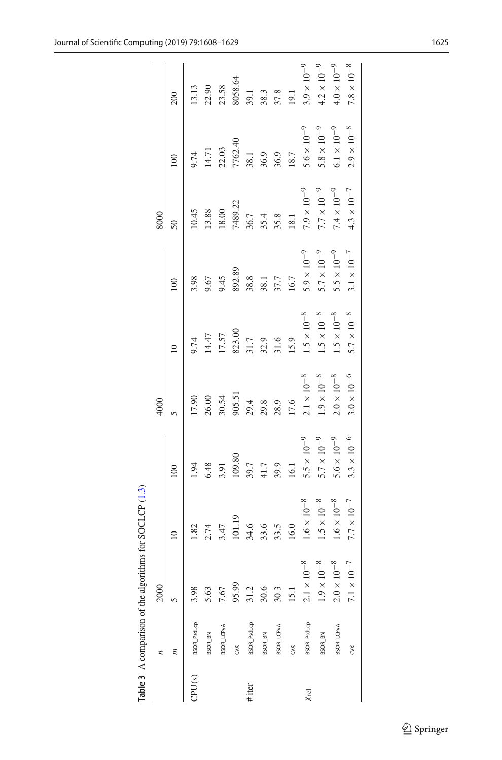|  |                                                                                                                                                                                                                                                                             |                    |                      | 4000               |                    |                    | 8000               |                    |                    |
|--|-----------------------------------------------------------------------------------------------------------------------------------------------------------------------------------------------------------------------------------------------------------------------------|--------------------|----------------------|--------------------|--------------------|--------------------|--------------------|--------------------|--------------------|
|  | m<br>m<br>m<br>SSOR-Bedicp<br>BSOR-Bedicp<br>BSOR-Bedicp<br>BSOR-Bedicp<br>BSOR-Bedicp<br>S.63<br>BSOR-Bedicp<br>OS.63<br>SSOR-Bedicp<br>BSOR-Bedicp<br>30.6<br>SSOR-Bedicp<br>30.6<br>SSOR-Bedicp<br>30.6<br>SSOR-Bedicp<br>30.6<br>SSOR-Bedicp<br>30.7<br>15.1<br>SSOR-Be | $\equiv$           | $\approx 0$          |                    | $\approx$          | $\approx$          | 50                 | $\approx$          | 200                |
|  |                                                                                                                                                                                                                                                                             | 1.82               | 1.94                 | 17.90              | 9.74               | \$,98              | 10.45              | 2.74               | 13.13              |
|  |                                                                                                                                                                                                                                                                             | 2.74               | 6.48                 | 26.00              | 14.47              | 9.67               | 13.88              | 14.71              | 22.90              |
|  |                                                                                                                                                                                                                                                                             | 3.47               | 3.91                 | 30.54              | 17.57              | 9.45               | 18.00              | 22.03              | 23.58              |
|  |                                                                                                                                                                                                                                                                             | 101.19             | 109.80               | 905.51             | 823.00             | 892.89             | 7489.22            | 7762.40            | 8058.64            |
|  |                                                                                                                                                                                                                                                                             | 34.6               | 39.7                 | 29.4               | 31.7               | 38.8               | 36.7               | 38.1               | 39.1               |
|  |                                                                                                                                                                                                                                                                             | 33.6               | 41.7                 | 29.8               | 32.9               | 38.1               | 35.4               | 36.9               | 38.3               |
|  |                                                                                                                                                                                                                                                                             | 33.5               | 39.9                 | 28.9               | 31.6               | 37.7               | 35.8               | 36.9               | 37.8               |
|  |                                                                                                                                                                                                                                                                             | 16.0               | 16.1                 | 17.6               | 15.9               | 16.7               | 18.1               | 18.7               | 19.1               |
|  |                                                                                                                                                                                                                                                                             | $1.6\times10^{-8}$ | $5.5\times10^{-9}$   | $2.1\times10^{-8}$ | $1.5\times10^{-8}$ | $5.9\times10^{-9}$ | $7.9\times10^{-9}$ | $5.6\times10^{-9}$ | $3.9\times10^{-9}$ |
|  |                                                                                                                                                                                                                                                                             | $1.5\times10^{-8}$ | $5.7\times10^{-9}$   | $1.9\times10^{-8}$ | $1.5\times10^{-8}$ | $5.7\times10^{-9}$ | $7.7\times10^{-9}$ | $5.8\times10^{-9}$ | $4.2\times10^{-9}$ |
|  |                                                                                                                                                                                                                                                                             | $1.6\times10^{-8}$ | $5.6 \times 10^{-9}$ | $2.0\times10^{-8}$ | $1.5\times10^{-8}$ | $5.5\times10^{-9}$ | $7.4\times10^{-9}$ | $6.1\times10^{-9}$ | $4.0\times10^{-9}$ |
|  | $7.1\times10^{-7}$                                                                                                                                                                                                                                                          | $7.7\times10^{-7}$ | $3.3\times10^{-6}$   | $3.0\times10^{-6}$ | $5.7\times10^{-8}$ | $3.1\times10^{-7}$ | $4.3\times10^{-7}$ | $2.9\times10^{-8}$ | $7.8\times10^{-8}$ |
|  |                                                                                                                                                                                                                                                                             |                    |                      |                    |                    |                    |                    |                    |                    |

<span id="page-17-0"></span>Table 3  $\land$  comparison of the algorithms for SOCLCP (1.3) **Table 3** A comparison of the algorithms for SOCLCP [\(1.3\)](#page-1-1)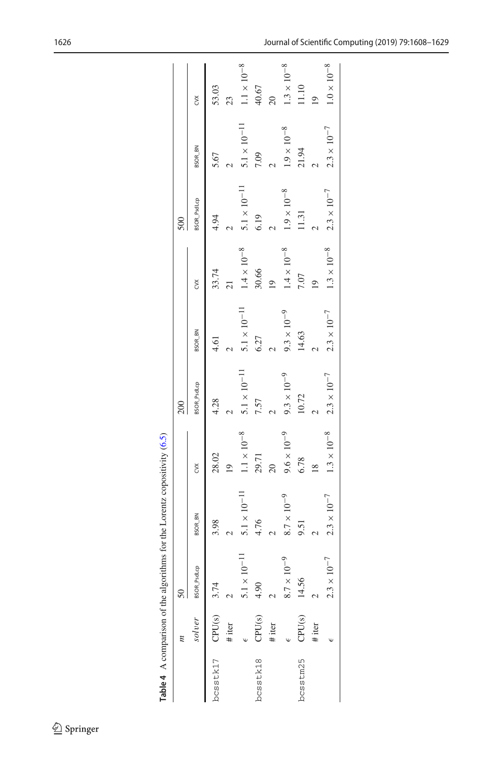|          |                    |                              |                     |                    | 200                                                       |                                                           |                    | 500                             |                               |                      |
|----------|--------------------|------------------------------|---------------------|--------------------|-----------------------------------------------------------|-----------------------------------------------------------|--------------------|---------------------------------|-------------------------------|----------------------|
|          | solver             | BSOR_PsdLcp                  | <b>BSOR_BN</b>      | č                  | <b>BSOR_PsdLcp</b>                                        | <b>BSOR_BN</b>                                            | č                  | <b>BSOR_PsdLcp</b>              | <b>BSOR_BN</b>                | š                    |
| bcsstk17 | CPU <sub>(s)</sub> | 3.74                         | 3.98                | 28.02              | 4.28                                                      | 4.61                                                      | 33.74              | 4.94                            | 5.67                          | 53.03                |
|          | # iter             |                              |                     | $\overline{19}$    |                                                           |                                                           |                    |                                 |                               | 23                   |
|          |                    | $10^{-11}$<br>$\frac{1}{2}$  | $5.1\times10^{-11}$ | $1.1\times10^{-8}$ | $\begin{aligned} 5.1\times 10^{-11}\\ 7.57 \end{aligned}$ | $\begin{aligned} 5.1\times 10^{-11}\\ 6.27 \end{aligned}$ | $1.4\times10^{-8}$ | $5.1 \times 10^{-11}$<br>$6.19$ | $5.1 \times 10^{-11}$<br>7.09 | $1.1 \times 10^{-8}$ |
| bcsstk18 | CPU <sub>(S)</sub> | 4.90                         | 4.76                | 29.71              |                                                           |                                                           | 30.66              |                                 |                               | 40.67                |
|          | # iter             |                              |                     | $\overline{c}$     |                                                           |                                                           | $\overline{19}$    |                                 |                               | $\overline{20}$      |
|          |                    | $8.7\times10^{-9}$           | $8.7\times10^{-9}$  | $9.6\times10^{-9}$ | $9.3\times10^{-9}$                                        | $9.3\times10^{-9}$                                        | $1.4\times10^{-8}$ | $1.9\times10^{-8}$              | $1.9\times10^{-8}$            | $1.3\times10^{-8}$   |
| bcsstm25 | CPU(s)             | 14.56                        | 9.51                | 6.78               | 10.72                                                     | 14.63                                                     | $7.07\,$           | $11.31$                         | 21.94                         | 11.10                |
|          | # iter             |                              |                     | $\frac{8}{18}$     |                                                           |                                                           |                    |                                 |                               | $\overline{19}$      |
|          |                    | $10^{-7}$<br>$\frac{13}{11}$ | $2.3\times10^{-7}$  | $1.3\times10^{-8}$ | $2.3\times10^{-7}$                                        | $2.3\times10^{-7}$                                        | $1.3\times10^{-8}$ | $2.3\times10^{-7}$              | $2.3\times10^{-7}$            | $1.0\times10^{-8}$   |
|          |                    |                              |                     |                    |                                                           |                                                           |                    |                                 |                               |                      |

<span id="page-18-0"></span>Table 4  $\land$  comparison of the algorithms for the Lorentz copositivity (6.5) **Table 4** A comparison of the algorithms for the Lorentz copositivity [\(6.5\)](#page-13-3)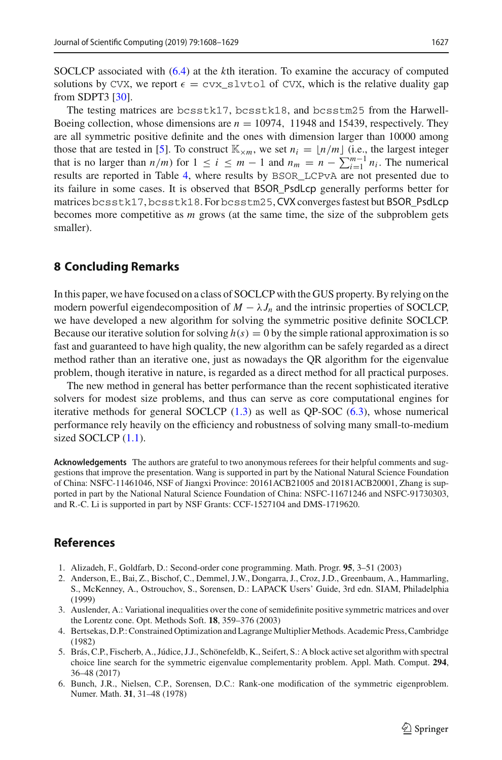SOCLCP associated with [\(6.4\)](#page-13-2) at the *k*th iteration. To examine the accuracy of computed solutions by CVX, we report  $\epsilon = \text{cvx\_slyto1}$  of CVX, which is the relative duality gap from SDPT3 [\[30\]](#page-20-27).

The testing matrices are bcsstk17, bcsstk18, and bcsstm25 from the Harwell-Boeing collection, whose dimensions are  $n = 10974$ , 11948 and 15439, respectively. They are all symmetric positive definite and the ones with dimension larger than 10000 among those that are tested in [\[5](#page-19-6)]. To construct  $\mathbb{K}_{\times m}$ , we set  $n_i = \lfloor n/m \rfloor$  (i.e., the largest integer that is no larger than  $n/m$  for  $1 \le i \le m-1$  and  $n_m = n - \sum_{i=1}^{m-1} n_i$ . The numerical results are reported in Table [4,](#page-18-0) where results by BSOR\_LCPvA are not presented due to its failure in some cases. It is observed that BSOR\_PsdLcp generally performs better for matrices bcsstk17, bcsstk18. For bcsstm25, CVX converges fastest but BSOR\_PsdLcp becomes more competitive as *m* grows (at the same time, the size of the subproblem gets smaller).

## <span id="page-19-2"></span>**8 Concluding Remarks**

In this paper, we have focused on a class of SOCLCP with the GUS property. By relying on the modern powerful eigendecomposition of  $M - \lambda J_n$  and the intrinsic properties of SOCLCP, we have developed a new algorithm for solving the symmetric positive definite SOCLCP. Because our iterative solution for solving  $h(s) = 0$  by the simple rational approximation is so fast and guaranteed to have high quality, the new algorithm can be safely regarded as a direct method rather than an iterative one, just as nowadays the QR algorithm for the eigenvalue problem, though iterative in nature, is regarded as a direct method for all practical purposes.

The new method in general has better performance than the recent sophisticated iterative solvers for modest size problems, and thus can serve as core computational engines for iterative methods for general SOCLCP [\(1.3\)](#page-1-1) as well as QP-SOC [\(6.3\)](#page-13-1), whose numerical performance rely heavily on the efficiency and robustness of solving many small-to-medium sized SOCLCP  $(1.1)$ .

**Acknowledgements** The authors are grateful to two anonymous referees for their helpful comments and suggestions that improve the presentation. Wang is supported in part by the National Natural Science Foundation of China: NSFC-11461046, NSF of Jiangxi Province: 20161ACB21005 and 20181ACB20001, Zhang is supported in part by the National Natural Science Foundation of China: NSFC-11671246 and NSFC-91730303, and R.-C. Li is supported in part by NSF Grants: CCF-1527104 and DMS-1719620.

## **References**

- <span id="page-19-4"></span>1. Alizadeh, F., Goldfarb, D.: Second-order cone programming. Math. Progr. **95**, 3–51 (2003)
- <span id="page-19-1"></span>2. Anderson, E., Bai, Z., Bischof, C., Demmel, J.W., Dongarra, J., Croz, J.D., Greenbaum, A., Hammarling, S., McKenney, A., Ostrouchov, S., Sorensen, D.: LAPACK Users' Guide, 3rd edn. SIAM, Philadelphia (1999)
- <span id="page-19-0"></span>3. Auslender, A.: Variational inequalities over the cone of semidefinite positive symmetric matrices and over the Lorentz cone. Opt. Methods Soft. **18**, 359–376 (2003)
- <span id="page-19-5"></span>4. Bertsekas, D.P.: Constrained Optimization and Lagrange Multiplier Methods. Academic Press, Cambridge (1982)
- <span id="page-19-6"></span>5. Brás, C.P., Fischerb, A., Júdice, J.J., Schönefeldb, K., Seifert, S.: A block active set algorithm with spectral choice line search for the symmetric eigenvalue complementarity problem. Appl. Math. Comput. **294**, 36–48 (2017)
- <span id="page-19-3"></span>6. Bunch, J.R., Nielsen, C.P., Sorensen, D.C.: Rank-one modification of the symmetric eigenproblem. Numer. Math. **31**, 31–48 (1978)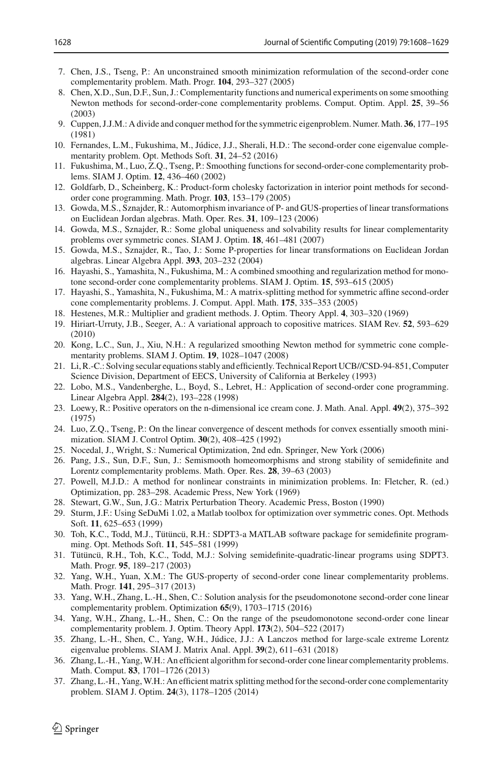- <span id="page-20-4"></span>7. Chen, J.S., Tseng, P.: An unconstrained smooth minimization reformulation of the second-order cone complementarity problem. Math. Progr. **104**, 293–327 (2005)
- <span id="page-20-5"></span>8. Chen, X.D., Sun, D.F., Sun, J.: Complementarity functions and numerical experiments on some smoothing Newton methods for second-order-cone complementarity problems. Comput. Optim. Appl. **25**, 39–56 (2003)
- <span id="page-20-16"></span>9. Cuppen, J.J.M.: A divide and conquer method for the symmetric eigenproblem. Numer. Math. **36**, 177–195 (1981)
- <span id="page-20-26"></span>10. Fernandes, L.M., Fukushima, M., Júdice, J.J., Sherali, H.D.: The second-order cone eigenvalue complementarity problem. Opt. Methods Soft. **31**, 24–52 (2016)
- <span id="page-20-6"></span>11. Fukushima, M., Luo, Z.Q., Tseng, P.: Smoothing functions for second-order-cone complementarity problems. SIAM J. Optim. **12**, 436–460 (2002)
- <span id="page-20-20"></span>12. Goldfarb, D., Scheinberg, K.: Product-form cholesky factorization in interior point methods for secondorder cone programming. Math. Progr. **103**, 153–179 (2005)
- <span id="page-20-0"></span>13. Gowda, M.S., Sznajder, R.: Automorphism invariance of P- and GUS-properties of linear transformations on Euclidean Jordan algebras. Math. Oper. Res. **31**, 109–123 (2006)
- 14. Gowda, M.S., Sznajder, R.: Some global uniqueness and solvability results for linear complementarity problems over symmetric cones. SIAM J. Optim. **18**, 461–481 (2007)
- <span id="page-20-1"></span>15. Gowda, M.S., Sznajder, R., Tao, J.: Some P-properties for linear transformations on Euclidean Jordan algebras. Linear Algebra Appl. **393**, 203–232 (2004)
- <span id="page-20-7"></span>16. Hayashi, S., Yamashita, N., Fukushima, M.: A combined smoothing and regularization method for monotone second-order cone complementarity problems. SIAM J. Optim. **15**, 593–615 (2005)
- <span id="page-20-18"></span>17. Hayashi, S., Yamashita, N., Fukushima, M.: A matrix-splitting method for symmetric affine second-order cone complementarity problems. J. Comput. Appl. Math. **175**, 335–353 (2005)
- <span id="page-20-13"></span>18. Hestenes, M.R.: Multiplier and gradient methods. J. Optim. Theory Appl. **4**, 303–320 (1969)
- <span id="page-20-23"></span>19. Hiriart-Urruty, J.B., Seeger, A.: A variational approach to copositive matrices. SIAM Rev. **52**, 593–629 (2010)
- <span id="page-20-8"></span>20. Kong, L.C., Sun, J., Xiu, N.H.: A regularized smoothing Newton method for symmetric cone complementarity problems. SIAM J. Optim. **19**, 1028–1047 (2008)
- <span id="page-20-17"></span>21. Li, R.-C.: Solving secular equations stably and efficiently. Technical Report UCB//CSD-94-851, Computer Science Division, Department of EECS, University of California at Berkeley (1993)
- <span id="page-20-21"></span>22. Lobo, M.S., Vandenberghe, L., Boyd, S., Lebret, H.: Application of second-order cone programming. Linear Algebra Appl. **284**(2), 193–228 (1998)
- <span id="page-20-24"></span>23. Loewy, R.: Positive operators on the n-dimensional ice cream cone. J. Math. Anal. Appl. **49**(2), 375–392 (1975)
- <span id="page-20-19"></span>24. Luo, Z.Q., Tseng, P.: On the linear convergence of descent methods for convex essentially smooth minimization. SIAM J. Control Optim. **30**(2), 408–425 (1992)
- <span id="page-20-22"></span>25. Nocedal, J., Wright, S.: Numerical Optimization, 2nd edn. Springer, New York (2006)
- <span id="page-20-9"></span>26. Pang, J.S., Sun, D.F., Sun, J.: Semismooth homeomorphisms and strong stability of semidefinite and Lorentz complementarity problems. Math. Oper. Res. **28**, 39–63 (2003)
- <span id="page-20-14"></span>27. Powell, M.J.D.: A method for nonlinear constraints in minimization problems. In: Fletcher, R. (ed.) Optimization, pp. 283–298. Academic Press, New York (1969)
- <span id="page-20-15"></span>28. Stewart, G.W., Sun, J.G.: Matrix Perturbation Theory. Academic Press, Boston (1990)
- <span id="page-20-29"></span>29. Sturm, J.F.: Using SeDuMi 1.02, a Matlab toolbox for optimization over symmetric cones. Opt. Methods Soft. **11**, 625–653 (1999)
- <span id="page-20-27"></span>30. Toh, K.C., Todd, M.J., Tütüncü, R.H.: SDPT3-a MATLAB software package for semidefinite programming. Opt. Methods Soft. **11**, 545–581 (1999)
- <span id="page-20-28"></span>31. Tütüncü, R.H., Toh, K.C., Todd, M.J.: Solving semidefinite-quadratic-linear programs using SDPT3. Math. Progr. **95**, 189–217 (2003)
- <span id="page-20-2"></span>32. Yang, W.H., Yuan, X.M.: The GUS-property of second-order cone linear complementarity problems. Math. Progr. **141**, 295–317 (2013)
- <span id="page-20-10"></span>33. Yang, W.H., Zhang, L.-H., Shen, C.: Solution analysis for the pseudomonotone second-order cone linear complementarity problem. Optimization **65**(9), 1703–1715 (2016)
- <span id="page-20-11"></span>34. Yang, W.H., Zhang, L.-H., Shen, C.: On the range of the pseudomonotone second-order cone linear complementarity problem. J. Optim. Theory Appl. **173**(2), 504–522 (2017)
- <span id="page-20-25"></span>35. Zhang, L.-H., Shen, C., Yang, W.H., Júdice, J.J.: A Lanczos method for large-scale extreme Lorentz eigenvalue problems. SIAM J. Matrix Anal. Appl. **39**(2), 611–631 (2018)
- <span id="page-20-3"></span>36. Zhang, L.-H., Yang, W.H.: An efficient algorithm for second-order cone linear complementarity problems. Math. Comput. **83**, 1701–1726 (2013)
- <span id="page-20-12"></span>37. Zhang, L.-H., Yang,W.H.: An efficient matrix splitting method for the second-order cone complementarity problem. SIAM J. Optim. **24**(3), 1178–1205 (2014)